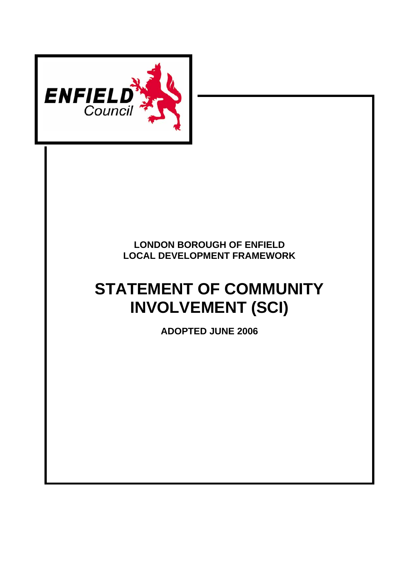

**LONDON BOROUGH OF ENFIELD LOCAL DEVELOPMENT FRAMEWORK** 

# **STATEMENT OF COMMUNITY INVOLVEMENT (SCI)**

**ADOPTED JUNE 2006**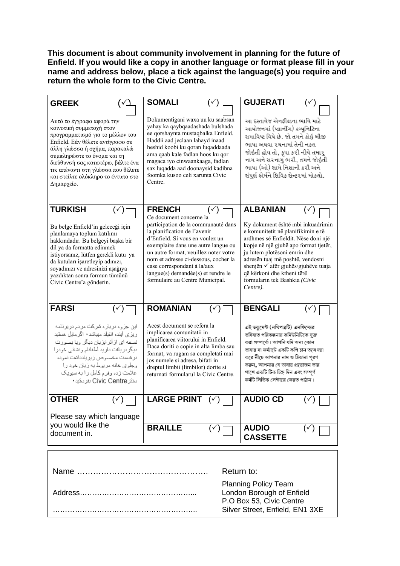**This document is about community involvement in planning for the future of Enfield. If you would like a copy in another language or format please fill in your name and address below, place a tick against the language(s) you require and return the whole form to the Civic Centre.** 

| <b>GREEK</b>                                                                                                                                                                                                                                                                                                                 | <b>SOMALI</b><br>$(\checkmark)$                                                                                                                                                                                                                                                                                                             | <b>GUJERATI</b><br>$(\checkmark)$                                                                                                                                                                                                                                                                                                             |
|------------------------------------------------------------------------------------------------------------------------------------------------------------------------------------------------------------------------------------------------------------------------------------------------------------------------------|---------------------------------------------------------------------------------------------------------------------------------------------------------------------------------------------------------------------------------------------------------------------------------------------------------------------------------------------|-----------------------------------------------------------------------------------------------------------------------------------------------------------------------------------------------------------------------------------------------------------------------------------------------------------------------------------------------|
| Αυτό το έγγραφο αφορά την<br>κοινοτική συμμετοχή στον<br>προγραμματισμό για το μέλλον του<br>Enfield. Εάν θέλετε αντίγραφο σε<br>άλλη γλώσσα ή σχήμα, παρακαλώ<br>συμπληρώστε το όνομα και τη<br>διεύθυνσή σας κατωτέρω, βάλτε ένα<br>τικ απέναντι στη γλώσσα που θέλετε<br>και στείλτε ολόκληρο το έντυπο στο<br>Δημαρχείο. | Dokumentigani waxa uu ku saabsan<br>yahay ka qaybqaadashada bulshada<br>ee qorshaynta mustaqbalka Enfield.<br>Haddii aad jeclaan lahayd inaad<br>heshid koobi ku qoran luqaddaada<br>ama qaab kale fadlan hoos ku qor<br>magaca iyo cinwaankaaga, fadlan<br>sax luqadda aad doonaysid kadibna<br>foomka kusoo celi xarunta Civic<br>Centre. | આ દસ્તાવેજ એનફીલ્ડના ભાવિ માટે<br>આયોજનમાં (પ્લાનીંગ) કમ્યૂનિટિના<br>સમાવિષ્ટ વિષે છે. જો તમને કોઇ બીજી<br>ભાષા અથવા ૨ચનામાં તેની નકલ<br>જોઇતી હોય તો, કૃપા કરી નીચે તમારુ<br>નામ અને સરનામુ ભરી, તમને જોઇતી<br>ભાષા (ઓ) સામે નિશાની કરી અને<br>સંપૂર્ણ ફોર્મને સિવિક સેન્ટરમાં મોકલો.                                                        |
| <b>TURKISH</b><br>$(\check{y})$                                                                                                                                                                                                                                                                                              | <b>FRENCH</b><br>( ✓ )<br>Ce document concerne la                                                                                                                                                                                                                                                                                           | <b>ALBANIAN</b><br>( ✓                                                                                                                                                                                                                                                                                                                        |
| Bu belge Enfield'in geleceği için<br>planlamaya toplum katılımı<br>hakkındadır. Bu belgeyi başka bir<br>dil ya da formatta edinmek<br>istiyorsanız, lütfen gerekli kutu ya<br>da kutuları işaretleyip adınızı,<br>soyadınızı ve adresinizi aşağıya<br>yazdıktan sonra formun tümünü<br>Civic Centre'a gönderin.              | participation de la communauté dans<br>la planification de l'avenir<br>d'Enfield. Si vous en voulez un<br>exemplaire dans une autre langue ou<br>un autre format, veuillez noter votre<br>nom et adresse ci-dessous, cocher la<br>case correspondant à la/aux<br>langue(s) demandée(s) et rendre le<br>formulaire au Centre Municipal.      | Ky dokument është mbi inkuadrimin<br>e komunitetit në planifikimin e të<br>ardhmes së Enfieldit. Nëse doni një<br>kopje në një gjuhë apo format tjetër,<br>ju lutem plotësoni emrin dhe<br>adresën tuaj më poshtë, vendosni<br>shenjën ∕ afër gjuhës/gjuhëve tuaja<br>që kërkoni dhe ktheni tërë<br>formularin tek Bashkia (Civic<br>Centre). |
| <b>FARSI</b><br>(√                                                                                                                                                                                                                                                                                                           | <b>ROMANIAN</b><br>$(\check{y})$                                                                                                                                                                                                                                                                                                            | <b>BENGALI</b><br>(√                                                                                                                                                                                                                                                                                                                          |
| این جزوه درباره شرکت مردم در برنامه<br>ریزی آینده انفیلد میباشد۰ اگر مایل هستید<br>نسخه ای از آنر ابزیان دیگر ویا بصورت<br>ديگر دريافت داريد لطفانام ونشاني خودرا<br>در قست مخصوص زیریادداشت نموده<br>وجلوى خانه مربوط به زبان خود را<br>علامت زده وفرم كامل را به سيويک<br>سنتر Civic Centre بفرستيد •                      | Acest document se refera la<br>implicarea comunitatii in<br>planificarea viitorului in Enfield.<br>Daca doriti o copie in alta limba sau<br>format, va rugam sa completati mai<br>jos numele si adresa, bifati in<br>dreptul limbii (limbilor) dorite si<br>returnati formularul la Civic Centre.                                           | এই ডকুমেন্ট (নথিপত্রটি) এনফিল্ডের<br>ভবিষ্যত পরিকল্পনায় কমিউনিটিকে যুক্ত<br>করা সম্পর্কে। আপনি যদি অন্য (কান<br>ভাষায় বা ফৰ্ম্যাটে একটি কপি চান তবে দয়া<br>করে নীচে আপনার নাম ও ঠিকানা পুরণ<br>করুন, আপনার যে ভাষায় প্রয়োজন তার<br>পাশে একটি টিক চিহ্ন দিন এবং সম্পূৰ্ণ<br>ফর্মটি সিভিক সেন্টারে ফেরত পাঠান।                             |
| <b>OTHER</b><br>$(\check{ }')$                                                                                                                                                                                                                                                                                               | <b>LARGE PRINT</b><br>$(\check{y})$                                                                                                                                                                                                                                                                                                         | <b>AUDIO CD</b><br>$(\check{ }')$                                                                                                                                                                                                                                                                                                             |
| Please say which language<br>you would like the<br>document in.                                                                                                                                                                                                                                                              | <b>BRAILLE</b><br>( ✓                                                                                                                                                                                                                                                                                                                       | <b>AUDIO</b><br>(✓<br><b>CASSETTE</b>                                                                                                                                                                                                                                                                                                         |
|                                                                                                                                                                                                                                                                                                                              |                                                                                                                                                                                                                                                                                                                                             | Return to:<br><b>Planning Policy Team</b><br>London Borough of Enfield                                                                                                                                                                                                                                                                        |

………………………………………………….. Silver Street, Enfield, EN1 3XE

P.O Box 53, Civic Centre<br>Silver Street, Enfield, EN1 3XE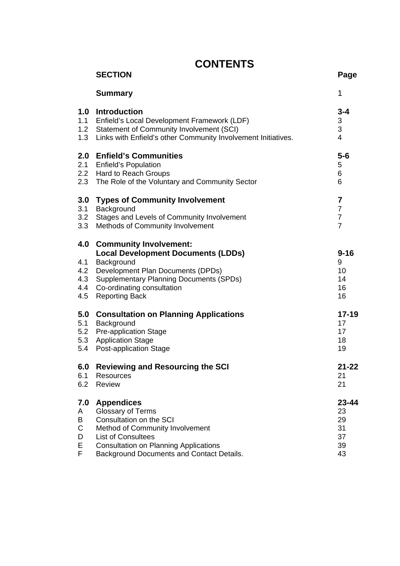# **CONTENTS**

|                                                      | <b>SECTION</b>                                                                                                                                                                                                                          | Page                                                                 |
|------------------------------------------------------|-----------------------------------------------------------------------------------------------------------------------------------------------------------------------------------------------------------------------------------------|----------------------------------------------------------------------|
|                                                      | <b>Summary</b>                                                                                                                                                                                                                          | 1                                                                    |
| 1.0<br>1.1<br>1.3                                    | <b>Introduction</b><br>Enfield's Local Development Framework (LDF)<br>1.2 Statement of Community Involvement (SCI)<br>Links with Enfield's other Community Involvement Initiatives.                                                     | $3 - 4$<br>3<br>$\mathbf{3}$<br>4                                    |
| 2.0<br>2.1                                           | <b>Enfield's Communities</b><br><b>Enfield's Population</b><br>2.2 Hard to Reach Groups<br>2.3 The Role of the Voluntary and Community Sector                                                                                           | $5-6$<br>5<br>6<br>6                                                 |
| 3.0<br>3.1<br>3.2<br>3.3                             | <b>Types of Community Involvement</b><br>Background<br>Stages and Levels of Community Involvement<br>Methods of Community Involvement                                                                                                   | $\overline{7}$<br>$\overline{7}$<br>$\overline{7}$<br>$\overline{7}$ |
| 4.0<br>4.1<br>4.2<br>4.3<br>4.4<br>4.5               | <b>Community Involvement:</b><br><b>Local Development Documents (LDDs)</b><br>Background<br>Development Plan Documents (DPDs)<br><b>Supplementary Planning Documents (SPDs)</b><br>Co-ordinating consultation<br><b>Reporting Back</b>  | $9 - 16$<br>9<br>10<br>14<br>16<br>16                                |
| 5.0<br>5.1<br>5.2<br>5.3<br>5.4<br>6.0<br>6.1<br>6.2 | <b>Consultation on Planning Applications</b><br>Background<br><b>Pre-application Stage</b><br><b>Application Stage</b><br><b>Post-application Stage</b><br><b>Reviewing and Resourcing the SCI</b><br><b>Resources</b><br><b>Review</b> | $17 - 19$<br>17<br>17<br>18<br>19<br>$21 - 22$<br>21<br>21           |
| 7.0<br>A<br>B<br>$\mathsf C$<br>D<br>Е<br>F          | <b>Appendices</b><br>Glossary of Terms<br>Consultation on the SCI<br>Method of Community Involvement<br><b>List of Consultees</b><br><b>Consultation on Planning Applications</b><br>Background Documents and Contact Details.          | 23-44<br>23<br>29<br>31<br>37<br>39<br>43                            |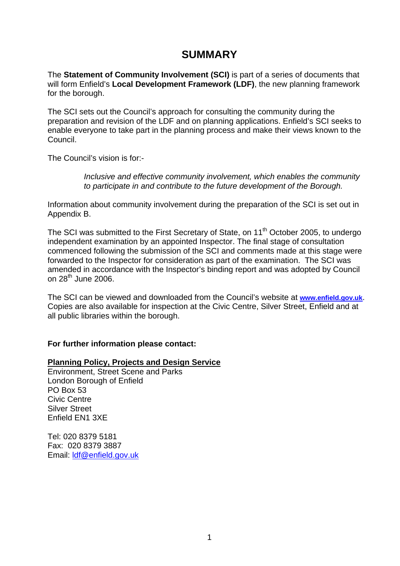# **SUMMARY**

The **Statement of Community Involvement (SCI)** is part of a series of documents that will form Enfield's **Local Development Framework (LDF)**, the new planning framework for the borough.

The SCI sets out the Council's approach for consulting the community during the preparation and revision of the LDF and on planning applications. Enfield's SCI seeks to enable everyone to take part in the planning process and make their views known to the Council.

The Council's vision is for:-

*Inclusive and effective community involvement, which enables the community to participate in and contribute to the future development of the Borough.* 

Information about community involvement during the preparation of the SCI is set out in Appendix B.

The SCI was submitted to the First Secretary of State, on 11<sup>th</sup> October 2005, to undergo independent examination by an appointed Inspector. The final stage of consultation commenced following the submission of the SCI and comments made at this stage were forwarded to the Inspector for consideration as part of the examination. The SCI was amended in accordance with the Inspector's binding report and was adopted by Council on  $28^{th}$  June  $2006$ .

The SCI can be viewed and downloaded from the Council's website at **[www.enfield.gov.uk](http://www.enfield.gov.uk/)**. Copies are also available for inspection at the Civic Centre, Silver Street, Enfield and at all public libraries within the borough.

#### **For further information please contact:**

#### **Planning Policy, Projects and Design Service**

Environment, Street Scene and Parks London Borough of Enfield PO Box 53 Civic Centre Silver Street Enfield EN1 3XE

Tel: 020 8379 5181 Fax: 020 8379 3887 Email: [ldf@enfield.gov.uk](mailto:ldf@enfield.gov.uk)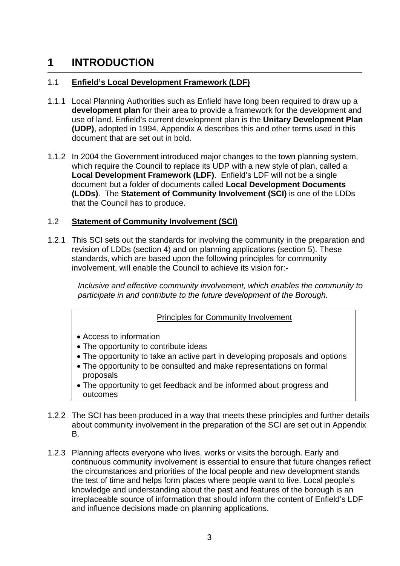# **1 INTRODUCTION**

### 1.1 **Enfield's Local Development Framework (LDF)**

- 1.1.1 Local Planning Authorities such as Enfield have long been required to draw up a **development plan** for their area to provide a framework for the development and use of land. Enfield's current development plan is the **Unitary Development Plan (UDP)**, adopted in 1994. Appendix A describes this and other terms used in this document that are set out in bold.
- 1.1.2 In 2004 the Government introduced major changes to the town planning system, which require the Council to replace its UDP with a new style of plan, called a **Local Development Framework (LDF)**. Enfield's LDF will not be a single document but a folder of documents called **Local Development Documents (LDDs)**. The **Statement of Community Involvement (SCI)** is one of the LDDs that the Council has to produce.

#### 1.2 **Statement of Community Involvement (SCI)**

1.2.1 This SCI sets out the standards for involving the community in the preparation and revision of LDDs (section 4) and on planning applications (section 5). These standards, which are based upon the following principles for community involvement, will enable the Council to achieve its vision for:-

*Inclusive and effective community involvement, which enables the community to participate in and contribute to the future development of the Borough.* 

#### Principles for Community Involvement

- Access to information
- The opportunity to contribute ideas
- The opportunity to take an active part in developing proposals and options
- The opportunity to be consulted and make representations on formal proposals
- The opportunity to get feedback and be informed about progress and outcomes
- 1.2.2 The SCI has been produced in a way that meets these principles and further details about community involvement in the preparation of the SCI are set out in Appendix B.
- 1.2.3 Planning affects everyone who lives, works or visits the borough. Early and continuous community involvement is essential to ensure that future changes reflect the circumstances and priorities of the local people and new development stands the test of time and helps form places where people want to live. Local people's knowledge and understanding about the past and features of the borough is an irreplaceable source of information that should inform the content of Enfield's LDF and influence decisions made on planning applications.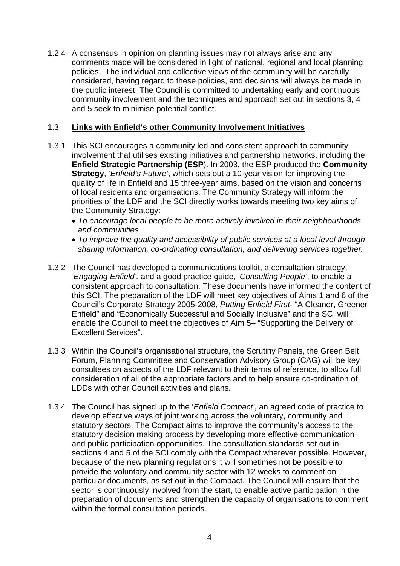1.2.4 A consensus in opinion on planning issues may not always arise and any comments made will be considered in light of national, regional and local planning policies. The individual and collective views of the community will be carefully considered, having regard to these policies, and decisions will always be made in the public interest. The Council is committed to undertaking early and continuous community involvement and the techniques and approach set out in sections 3, 4 and 5 seek to minimise potential conflict.

#### 1.3 **Links with Enfield's other Community Involvement Initiatives**

- 1.3.1 This SCI encourages a community led and consistent approach to community involvement that utilises existing initiatives and partnership networks, including the **Enfield Strategic Partnership (ESP**). In 2003, the ESP produced the **Community Strategy**, *'Enfield's Future'*, which sets out a 10-year vision for improving the quality of life in Enfield and 15 three-year aims, based on the vision and concerns of local residents and organisations. The Community Strategy will inform the priorities of the LDF and the SCI directly works towards meeting two key aims of the Community Strategy:
	- *To encourage local people to be more actively involved in their neighbourhoods and communities*
	- *To improve the quality and accessibility of public services at a local level through sharing information, co-ordinating consultation, and delivering services together.*
- 1.3.2 The Council has developed a communications toolkit, a consultation strategy, *'Engaging Enfield',* and a good practice guide, *'Consulting People'*, to enable a consistent approach to consultation. These documents have informed the content of this SCI. The preparation of the LDF will meet key objectives of Aims 1 and 6 of the Council's Corporate Strategy 2005-2008, *Putting Enfield First*- "A Cleaner, Greener Enfield" and "Economically Successful and Socially Inclusive" and the SCI will enable the Council to meet the objectives of Aim 5– "Supporting the Delivery of Excellent Services".
- 1.3.3 Within the Council's organisational structure, the Scrutiny Panels, the Green Belt Forum, Planning Committee and Conservation Advisory Group (CAG) will be key consultees on aspects of the LDF relevant to their terms of reference, to allow full consideration of all of the appropriate factors and to help ensure co-ordination of LDDs with other Council activities and plans.
- 1.3.4 The Council has signed up to the '*Enfield Compact'*, an agreed code of practice to develop effective ways of joint working across the voluntary, community and statutory sectors. The Compact aims to improve the community's access to the statutory decision making process by developing more effective communication and public participation opportunities. The consultation standards set out in sections 4 and 5 of the SCI comply with the Compact wherever possible. However, because of the new planning regulations it will sometimes not be possible to provide the voluntary and community sector with 12 weeks to comment on particular documents, as set out in the Compact. The Council will ensure that the sector is continuously involved from the start, to enable active participation in the preparation of documents and strengthen the capacity of organisations to comment within the formal consultation periods.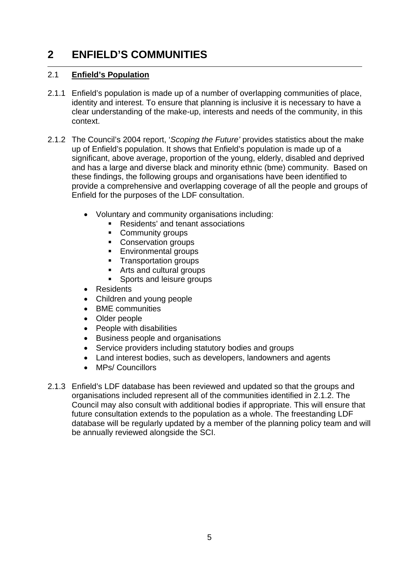# **2 ENFIELD'S COMMUNITIES**

### 2.1 **Enfield's Population**

- 2.1.1 Enfield's population is made up of a number of overlapping communities of place, identity and interest. To ensure that planning is inclusive it is necessary to have a clear understanding of the make-up, interests and needs of the community, in this context.
- 2.1.2 The Council's 2004 report, '*Scoping the Future'* provides statistics about the make up of Enfield's population. It shows that Enfield's population is made up of a significant, above average, proportion of the young, elderly, disabled and deprived and has a large and diverse black and minority ethnic (bme) community. Based on these findings, the following groups and organisations have been identified to provide a comprehensive and overlapping coverage of all the people and groups of Enfield for the purposes of the LDF consultation.
	- Voluntary and community organisations including:
		- Residents' and tenant associations
		- **Community groups**
		- **Conservation groups**
		- **Environmental groups**
		- **Transportation groups**
		- **Arts and cultural groups**
		- Sports and leisure groups
	- **Residents**
	- Children and young people
	- BME communities
	- Older people
	- People with disabilities
	- Business people and organisations
	- Service providers including statutory bodies and groups
	- Land interest bodies, such as developers, landowners and agents
	- MPs/ Councillors
- 2.1.3 Enfield's LDF database has been reviewed and updated so that the groups and organisations included represent all of the communities identified in 2.1.2. The Council may also consult with additional bodies if appropriate. This will ensure that future consultation extends to the population as a whole. The freestanding LDF database will be regularly updated by a member of the planning policy team and will be annually reviewed alongside the SCI.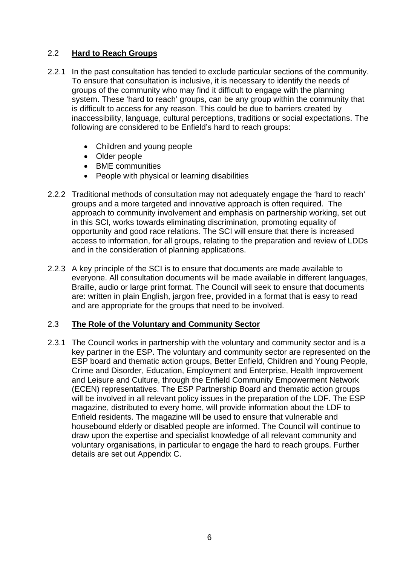### 2.2 **Hard to Reach Groups**

- 2.2.1 In the past consultation has tended to exclude particular sections of the community. To ensure that consultation is inclusive, it is necessary to identify the needs of groups of the community who may find it difficult to engage with the planning system. These 'hard to reach' groups, can be any group within the community that is difficult to access for any reason. This could be due to barriers created by inaccessibility, language, cultural perceptions, traditions or social expectations. The following are considered to be Enfield's hard to reach groups:
	- Children and young people
	- Older people
	- BME communities
	- People with physical or learning disabilities
- 2.2.2 Traditional methods of consultation may not adequately engage the 'hard to reach' groups and a more targeted and innovative approach is often required. The approach to community involvement and emphasis on partnership working, set out in this SCI, works towards eliminating discrimination, promoting equality of opportunity and good race relations. The SCI will ensure that there is increased access to information, for all groups, relating to the preparation and review of LDDs and in the consideration of planning applications.
- 2.2.3 A key principle of the SCI is to ensure that documents are made available to everyone. All consultation documents will be made available in different languages, Braille, audio or large print format. The Council will seek to ensure that documents are: written in plain English, jargon free, provided in a format that is easy to read and are appropriate for the groups that need to be involved.

#### 2.3 **The Role of the Voluntary and Community Sector**

2.3.1 The Council works in partnership with the voluntary and community sector and is a key partner in the ESP. The voluntary and community sector are represented on the ESP board and thematic action groups, Better Enfield, Children and Young People, Crime and Disorder, Education, Employment and Enterprise, Health Improvement and Leisure and Culture, through the Enfield Community Empowerment Network (ECEN) representatives. The ESP Partnership Board and thematic action groups will be involved in all relevant policy issues in the preparation of the LDF. The ESP magazine, distributed to every home, will provide information about the LDF to Enfield residents. The magazine will be used to ensure that vulnerable and housebound elderly or disabled people are informed. The Council will continue to draw upon the expertise and specialist knowledge of all relevant community and voluntary organisations, in particular to engage the hard to reach groups. Further details are set out Appendix C.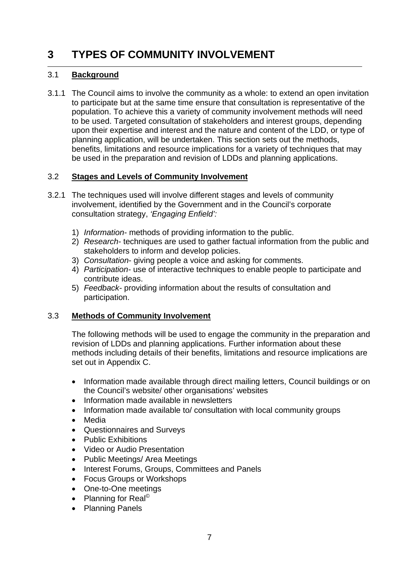# **3 TYPES OF COMMUNITY INVOLVEMENT**

### 3.1 **Background**

3.1.1 The Council aims to involve the community as a whole: to extend an open invitation to participate but at the same time ensure that consultation is representative of the population. To achieve this a variety of community involvement methods will need to be used. Targeted consultation of stakeholders and interest groups, depending upon their expertise and interest and the nature and content of the LDD, or type of planning application, will be undertaken. This section sets out the methods, benefits, limitations and resource implications for a variety of techniques that may be used in the preparation and revision of LDDs and planning applications.

#### 3.2 **Stages and Levels of Community Involvement**

- 3.2.1 The techniques used will involve different stages and levels of community involvement, identified by the Government and in the Council's corporate consultation strategy, *'Engaging Enfield':* 
	- 1) *Information-* methods of providing information to the public.
	- 2) *Research-* techniques are used to gather factual information from the public and stakeholders to inform and develop policies.
	- 3) *Consultation* giving people a voice and asking for comments.
	- 4) *Participation-* use of interactive techniques to enable people to participate and contribute ideas.
	- 5) *Feedback-* providing information about the results of consultation and participation.

#### 3.3 **Methods of Community Involvement**

The following methods will be used to engage the community in the preparation and revision of LDDs and planning applications. Further information about these methods including details of their benefits, limitations and resource implications are set out in Appendix C.

- Information made available through direct mailing letters, Council buildings or on the Council's website/ other organisations' websites
- Information made available in newsletters
- Information made available to/ consultation with local community groups
- Media
- Questionnaires and Surveys
- Public Exhibitions
- Video or Audio Presentation
- Public Meetings/ Area Meetings
- Interest Forums, Groups, Committees and Panels
- Focus Groups or Workshops
- One-to-One meetings
- $\bullet$  Planning for Real<sup>©</sup>
- Planning Panels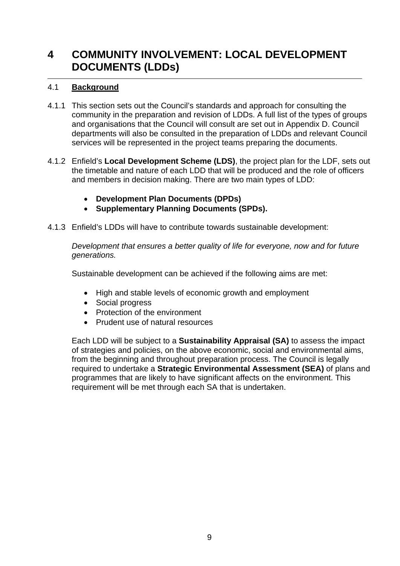# **4 COMMUNITY INVOLVEMENT: LOCAL DEVELOPMENT DOCUMENTS (LDDs)**

### 4.1 **Background**

- 4.1.1 This section sets out the Council's standards and approach for consulting the community in the preparation and revision of LDDs. A full list of the types of groups and organisations that the Council will consult are set out in Appendix D. Council departments will also be consulted in the preparation of LDDs and relevant Council services will be represented in the project teams preparing the documents.
- 4.1.2 Enfield's **Local Development Scheme (LDS)**, the project plan for the LDF, sets out the timetable and nature of each LDD that will be produced and the role of officers and members in decision making. There are two main types of LDD:
	- **Development Plan Documents (DPDs)**
	- **Supplementary Planning Documents (SPDs).**
- 4.1.3 Enfield's LDDs will have to contribute towards sustainable development:

*Development that ensures a better quality of life for everyone, now and for future generations.*

Sustainable development can be achieved if the following aims are met:

- High and stable levels of economic growth and employment
- Social progress
- Protection of the environment
- Prudent use of natural resources

Each LDD will be subject to a **Sustainability Appraisal (SA)** to assess the impact of strategies and policies, on the above economic, social and environmental aims, from the beginning and throughout preparation process. The Council is legally required to undertake a **Strategic Environmental Assessment (SEA)** of plans and programmes that are likely to have significant affects on the environment. This requirement will be met through each SA that is undertaken.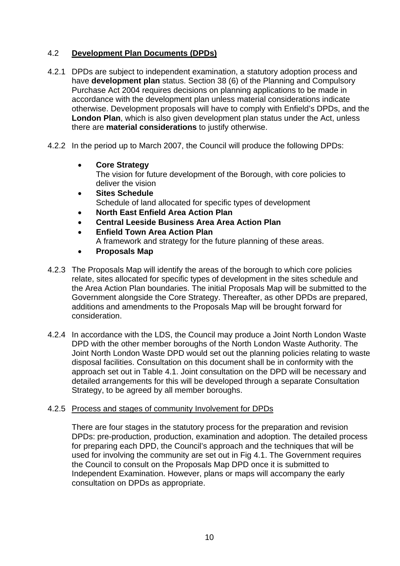### 4.2 **Development Plan Documents (DPDs)**

- 4.2.1 DPDs are subject to independent examination, a statutory adoption process and have **development plan** status. Section 38 (6) of the Planning and Compulsory Purchase Act 2004 requires decisions on planning applications to be made in accordance with the development plan unless material considerations indicate otherwise. Development proposals will have to comply with Enfield's DPDs, and the **London Plan**, which is also given development plan status under the Act, unless there are **material considerations** to justify otherwise.
- 4.2.2 In the period up to March 2007, the Council will produce the following DPDs:
	- **Core Strategy** 
		- The vision for future development of the Borough, with core policies to deliver the vision
	- **Sites Schedule** Schedule of land allocated for specific types of development
	- **North East Enfield Area Action Plan**
	- **Central Leeside Business Area Area Action Plan**
	- **Enfield Town Area Action Plan** 
		- A framework and strategy for the future planning of these areas.
	- **Proposals Map**
- 4.2.3 The Proposals Map will identify the areas of the borough to which core policies relate, sites allocated for specific types of development in the sites schedule and the Area Action Plan boundaries. The initial Proposals Map will be submitted to the Government alongside the Core Strategy. Thereafter, as other DPDs are prepared, additions and amendments to the Proposals Map will be brought forward for consideration.
- 4.2.4 In accordance with the LDS, the Council may produce a Joint North London Waste DPD with the other member boroughs of the North London Waste Authority. The Joint North London Waste DPD would set out the planning policies relating to waste disposal facilities. Consultation on this document shall be in conformity with the approach set out in Table 4.1. Joint consultation on the DPD will be necessary and detailed arrangements for this will be developed through a separate Consultation Strategy, to be agreed by all member boroughs.

#### 4.2.5 Process and stages of community Involvement for DPDs

There are four stages in the statutory process for the preparation and revision DPDs: pre-production, production, examination and adoption. The detailed process for preparing each DPD, the Council's approach and the techniques that will be used for involving the community are set out in Fig 4.1. The Government requires the Council to consult on the Proposals Map DPD once it is submitted to Independent Examination. However, plans or maps will accompany the early consultation on DPDs as appropriate.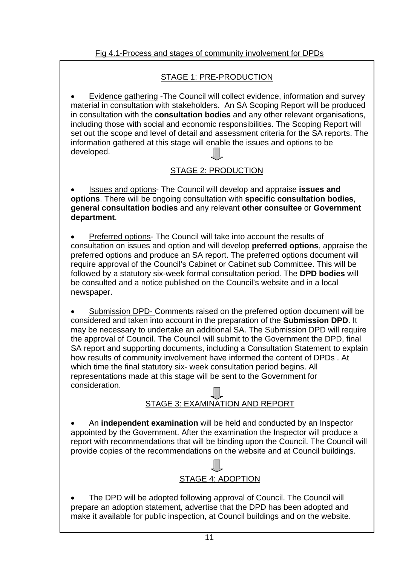# STAGE 1: PRE-PRODUCTION

• Evidence gathering -The Council will collect evidence, information and survey material in consultation with stakeholders. An SA Scoping Report will be produced in consultation with the **consultation bodies** and any other relevant organisations, including those with social and economic responsibilities. The Scoping Report will set out the scope and level of detail and assessment criteria for the SA reports. The information gathered at this stage will enable the issues and options to be developed.

# STAGE 2: PRODUCTION

• Issues and options- The Council will develop and appraise **issues and options**. There will be ongoing consultation with **specific consultation bodies**, **general consultation bodies** and any relevant **other consultee** or **Government department**.

• Preferred options- The Council will take into account the results of consultation on issues and option and will develop **preferred options**, appraise the preferred options and produce an SA report. The preferred options document will require approval of the Council's Cabinet or Cabinet sub Committee. This will be followed by a statutory six-week formal consultation period. The **DPD bodies** will be consulted and a notice published on the Council's website and in a local newspaper.

• Submission DPD- Comments raised on the preferred option document will be considered and taken into account in the preparation of the **Submission DPD**. It may be necessary to undertake an additional SA. The Submission DPD will require the approval of Council. The Council will submit to the Government the DPD, final SA report and supporting documents, including a Consultation Statement to explain how results of community involvement have informed the content of DPDs . At which time the final statutory six- week consultation period begins. All representations made at this stage will be sent to the Government for consideration.

# STAGE 3: EXAMINATION AND REPORT

• An **independent examination** will be held and conducted by an Inspector appointed by the Government. After the examination the Inspector will produce a report with recommendations that will be binding upon the Council. The Council will provide copies of the recommendations on the website and at Council buildings.

# STAGE 4: ADOPTION

• The DPD will be adopted following approval of Council. The Council will prepare an adoption statement, advertise that the DPD has been adopted and make it available for public inspection, at Council buildings and on the website.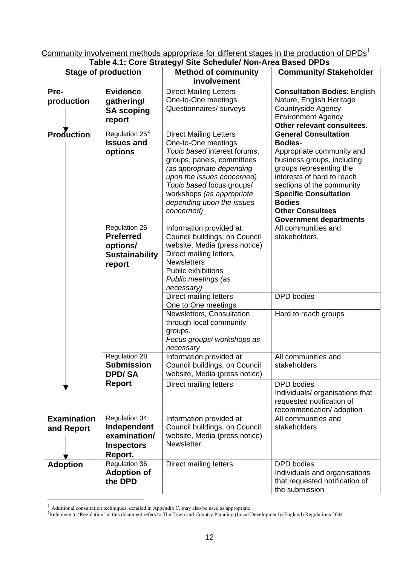Community involvement methods appropriate for different stages in the production of DPDs<sup>[1](#page-15-0)</sup> **Table 4.1: Core Strategy/ Site Schedule/ Non-Area Based DPDs** 

| <b>Stage of production</b>       |                                                                                     | Table 4.1. Core Strategy/ Site Scriedule/ Non-Area Based DFDs<br><b>Method of community</b>                                                                                                                                                                                        | <b>Community/ Stakeholder</b>                                                                                                                                                                                                                                                                               |  |
|----------------------------------|-------------------------------------------------------------------------------------|------------------------------------------------------------------------------------------------------------------------------------------------------------------------------------------------------------------------------------------------------------------------------------|-------------------------------------------------------------------------------------------------------------------------------------------------------------------------------------------------------------------------------------------------------------------------------------------------------------|--|
|                                  |                                                                                     | involvement                                                                                                                                                                                                                                                                        |                                                                                                                                                                                                                                                                                                             |  |
| Pre-<br>production               | <b>Evidence</b><br>gathering/<br><b>SA scoping</b><br>report                        | <b>Direct Mailing Letters</b><br>One-to-One meetings<br>Questionnaires/ surveys                                                                                                                                                                                                    | <b>Consultation Bodies: English</b><br>Nature, English Heritage<br>Countryside Agency<br><b>Environment Agency</b><br>Other relevant consultees.                                                                                                                                                            |  |
| <b>Production</b>                | Regulation $25^2$<br><b>Issues and</b><br>options                                   | <b>Direct Mailing Letters</b><br>One-to-One meetings<br>Topic based interest forums,<br>groups, panels, committees<br>(as appropriate depending<br>upon the issues concerned)<br>Topic based focus groups/<br>workshops (as appropriate<br>depending upon the issues<br>concerned) | <b>General Consultation</b><br><b>Bodies-</b><br>Appropriate community and<br>business groups, including<br>groups representing the<br>interests of hard to reach<br>sections of the community<br><b>Specific Consultation</b><br><b>Bodies</b><br><b>Other Consultees</b><br><b>Government departments</b> |  |
|                                  | Regulation 26<br><b>Preferred</b><br>options/<br><b>Sustainability</b><br>report    | Information provided at<br>Council buildings, on Council<br>website, Media (press notice)<br>Direct mailing letters,<br><b>Newsletters</b><br>Public exhibitions<br>Public meetings (as<br>necessary)                                                                              | All communities and<br>stakeholders.                                                                                                                                                                                                                                                                        |  |
|                                  |                                                                                     | Direct mailing letters<br>One to One meetings                                                                                                                                                                                                                                      | <b>DPD</b> bodies                                                                                                                                                                                                                                                                                           |  |
|                                  |                                                                                     | Newsletters, Consultation<br>through local community<br>groups.<br>Focus groups/ workshops as<br>necessary                                                                                                                                                                         | Hard to reach groups                                                                                                                                                                                                                                                                                        |  |
|                                  | Regulation 28<br><b>Submission</b><br><b>DPD/SA</b>                                 | Information provided at<br>Council buildings, on Council<br>website, Media (press notice)                                                                                                                                                                                          | All communities and<br>stakeholders                                                                                                                                                                                                                                                                         |  |
|                                  | <b>Report</b>                                                                       | <b>Direct mailing letters</b>                                                                                                                                                                                                                                                      | <b>DPD</b> bodies<br>Individuals/ organisations that<br>requested notification of<br>recommendation/adoption                                                                                                                                                                                                |  |
| <b>Examination</b><br>and Report | <b>Regulation 34</b><br>Independent<br>examination/<br><b>Inspectors</b><br>Report. | Information provided at<br>Council buildings, on Council<br>website, Media (press notice)<br><b>Newsletter</b>                                                                                                                                                                     | All communities and<br>stakeholders                                                                                                                                                                                                                                                                         |  |
| <b>Adoption</b>                  | Regulation 36<br><b>Adoption of</b><br>the DPD                                      | Direct mailing letters                                                                                                                                                                                                                                                             | <b>DPD</b> bodies<br>Individuals and organisations<br>that requested notification of<br>the submission                                                                                                                                                                                                      |  |

1

<span id="page-15-1"></span><span id="page-15-0"></span><sup>&</sup>lt;sup>1</sup> Additional consultation techniques, detailed in Appendix C, may also be used as appropriate.<br><sup>2</sup>Reference to 'Regulation' in this document refers to The Town and Country Planning (Local Development) (England) Regulatio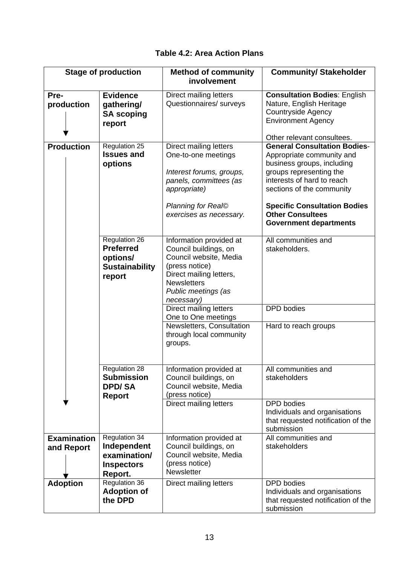# **Table 4.2: Area Action Plans**

|                                  | <b>Stage of production</b>                                                       | <b>Method of community</b><br>involvement                                                                                                                                          | <b>Community/ Stakeholder</b>                                                                                                                                                                                                                                                           |
|----------------------------------|----------------------------------------------------------------------------------|------------------------------------------------------------------------------------------------------------------------------------------------------------------------------------|-----------------------------------------------------------------------------------------------------------------------------------------------------------------------------------------------------------------------------------------------------------------------------------------|
| Pre-<br>production               | <b>Evidence</b><br>gathering/<br><b>SA scoping</b><br>report                     | Direct mailing letters<br>Questionnaires/ surveys                                                                                                                                  | <b>Consultation Bodies: English</b><br>Nature, English Heritage<br><b>Countryside Agency</b><br><b>Environment Agency</b><br>Other relevant consultees.                                                                                                                                 |
| <b>Production</b>                | Regulation 25<br><b>Issues and</b><br>options                                    | Direct mailing letters<br>One-to-one meetings<br>Interest forums, groups,<br>panels, committees (as<br>appropriate)<br><b>Planning for Real©</b><br>exercises as necessary.        | <b>General Consultation Bodies-</b><br>Appropriate community and<br>business groups, including<br>groups representing the<br>interests of hard to reach<br>sections of the community<br><b>Specific Consultation Bodies</b><br><b>Other Consultees</b><br><b>Government departments</b> |
|                                  | Regulation 26<br><b>Preferred</b><br>options/<br><b>Sustainability</b><br>report | Information provided at<br>Council buildings, on<br>Council website, Media<br>(press notice)<br>Direct mailing letters,<br><b>Newsletters</b><br>Public meetings (as<br>necessary) | All communities and<br>stakeholders.                                                                                                                                                                                                                                                    |
|                                  |                                                                                  | Direct mailing letters<br>One to One meetings<br>Newsletters, Consultation<br>through local community<br>groups.                                                                   | <b>DPD</b> bodies<br>Hard to reach groups                                                                                                                                                                                                                                               |
|                                  | Regulation 28<br><b>Submission</b><br><b>DPD/SA</b><br><b>Report</b>             | Information provided at<br>Council buildings, on<br>Council website, Media<br>(press notice)                                                                                       | All communities and<br>stakeholders                                                                                                                                                                                                                                                     |
|                                  |                                                                                  | <b>Direct mailing letters</b>                                                                                                                                                      | <b>DPD</b> bodies<br>Individuals and organisations<br>that requested notification of the<br>submission                                                                                                                                                                                  |
| <b>Examination</b><br>and Report | Regulation 34<br>Independent<br>examination/<br><b>Inspectors</b><br>Report.     | Information provided at<br>Council buildings, on<br>Council website, Media<br>(press notice)<br>Newsletter                                                                         | All communities and<br>stakeholders                                                                                                                                                                                                                                                     |
| <b>Adoption</b>                  | Regulation 36<br><b>Adoption of</b><br>the DPD                                   | Direct mailing letters                                                                                                                                                             | <b>DPD</b> bodies<br>Individuals and organisations<br>that requested notification of the<br>submission                                                                                                                                                                                  |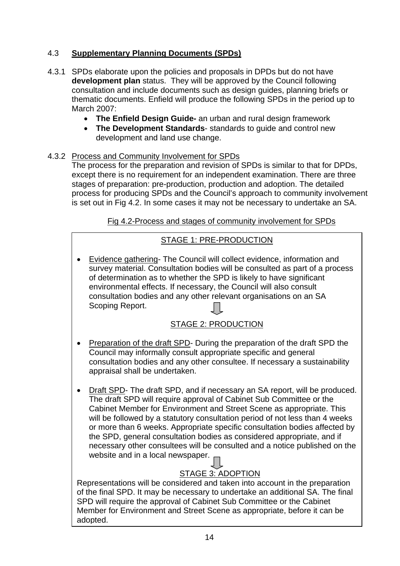# 4.3 **Supplementary Planning Documents (SPDs)**

- 4.3.1 SPDs elaborate upon the policies and proposals in DPDs but do not have **development plan** status. They will be approved by the Council following consultation and include documents such as design guides, planning briefs or thematic documents. Enfield will produce the following SPDs in the period up to March 2007:
	- **The Enfield Design Guide-** an urban and rural design framework
	- **The Development Standards** standards to guide and control new development and land use change.

### 4.3.2 Process and Community Involvement for SPDs

The process for the preparation and revision of SPDs is similar to that for DPDs, except there is no requirement for an independent examination. There are three stages of preparation: pre-production, production and adoption. The detailed process for producing SPDs and the Council's approach to community involvement is set out in Fig 4.2. In some cases it may not be necessary to undertake an SA.

### Fig 4.2-Process and stages of community involvement for SPDs

# STAGE 1: PRE-PRODUCTION

• Evidence gathering- The Council will collect evidence, information and survey material. Consultation bodies will be consulted as part of a process of determination as to whether the SPD is likely to have significant environmental effects. If necessary, the Council will also consult consultation bodies and any other relevant organisations on an SA Scoping Report.

# STAGE 2: PRODUCTION

- Preparation of the draft SPD- During the preparation of the draft SPD the Council may informally consult appropriate specific and general consultation bodies and any other consultee. If necessary a sustainability appraisal shall be undertaken.
- Draft SPD- The draft SPD, and if necessary an SA report, will be produced. The draft SPD will require approval of Cabinet Sub Committee or the Cabinet Member for Environment and Street Scene as appropriate. This will be followed by a statutory consultation period of not less than 4 weeks or more than 6 weeks. Appropriate specific consultation bodies affected by the SPD, general consultation bodies as considered appropriate, and if necessary other consultees will be consulted and a notice published on the website and in a local newspaper.

# STAGE 3: ADOPTION

Representations will be considered and taken into account in the preparation of the final SPD. It may be necessary to undertake an additional SA. The final SPD will require the approval of Cabinet Sub Committee or the Cabinet Member for Environment and Street Scene as appropriate, before it can be adopted.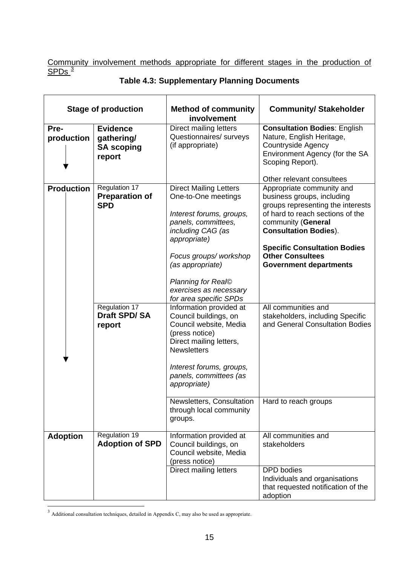Community involvement methods appropriate for different stages in the production of  $\overline{\text{SPDs}}^{\,3}$  $\overline{\text{SPDs}}^{\,3}$  $\overline{\text{SPDs}}^{\,3}$ 

|                    | <b>Stage of production</b>                                   | <b>Method of community</b><br>involvement                                                                                                                                                                                                                                  | <b>Community/ Stakeholder</b>                                                                                                                                                                                                                                                             |
|--------------------|--------------------------------------------------------------|----------------------------------------------------------------------------------------------------------------------------------------------------------------------------------------------------------------------------------------------------------------------------|-------------------------------------------------------------------------------------------------------------------------------------------------------------------------------------------------------------------------------------------------------------------------------------------|
| Pre-<br>production | <b>Evidence</b><br>gathering/<br><b>SA scoping</b><br>report | Direct mailing letters<br>Questionnaires/ surveys<br>(if appropriate)                                                                                                                                                                                                      | <b>Consultation Bodies: English</b><br>Nature, English Heritage,<br><b>Countryside Agency</b><br>Environment Agency (for the SA<br>Scoping Report).<br>Other relevant consultees                                                                                                          |
| <b>Production</b>  | Regulation 17<br><b>Preparation of</b><br><b>SPD</b>         | <b>Direct Mailing Letters</b><br>One-to-One meetings<br>Interest forums, groups,<br>panels, committees,<br>including CAG (as<br>appropriate)<br>Focus groups/workshop<br>(as appropriate)<br><b>Planning for Real©</b><br>exercises as necessary<br>for area specific SPDs | Appropriate community and<br>business groups, including<br>groups representing the interests<br>of hard to reach sections of the<br>community (General<br><b>Consultation Bodies).</b><br><b>Specific Consultation Bodies</b><br><b>Other Consultees</b><br><b>Government departments</b> |
|                    | Regulation 17<br><b>Draft SPD/SA</b><br>report               | Information provided at<br>Council buildings, on<br>Council website, Media<br>(press notice)<br>Direct mailing letters,<br><b>Newsletters</b><br>Interest forums, groups,<br>panels, committees (as<br>appropriate)                                                        | All communities and<br>stakeholders, including Specific<br>and General Consultation Bodies                                                                                                                                                                                                |
|                    |                                                              | Newsletters, Consultation<br>through local community<br>groups.                                                                                                                                                                                                            | Hard to reach groups                                                                                                                                                                                                                                                                      |
| <b>Adoption</b>    | Regulation 19<br><b>Adoption of SPD</b>                      | Information provided at<br>Council buildings, on<br>Council website, Media<br>(press notice)<br>Direct mailing letters                                                                                                                                                     | All communities and<br>stakeholders<br><b>DPD</b> bodies<br>Individuals and organisations<br>that requested notification of the<br>adoption                                                                                                                                               |

# **Table 4.3: Supplementary Planning Documents**

1

<span id="page-18-0"></span> $3$  Additional consultation techniques, detailed in Appendix C, may also be used as appropriate.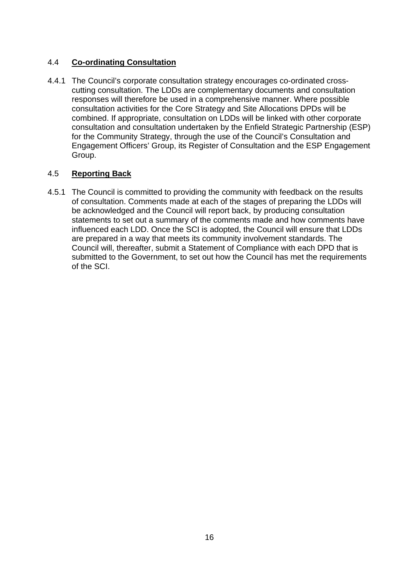### 4.4 **Co-ordinating Consultation**

4.4.1 The Council's corporate consultation strategy encourages co-ordinated crosscutting consultation. The LDDs are complementary documents and consultation responses will therefore be used in a comprehensive manner. Where possible consultation activities for the Core Strategy and Site Allocations DPDs will be combined. If appropriate, consultation on LDDs will be linked with other corporate consultation and consultation undertaken by the Enfield Strategic Partnership (ESP) for the Community Strategy, through the use of the Council's Consultation and Engagement Officers' Group, its Register of Consultation and the ESP Engagement Group.

### 4.5 **Reporting Back**

4.5.1 The Council is committed to providing the community with feedback on the results of consultation. Comments made at each of the stages of preparing the LDDs will be acknowledged and the Council will report back, by producing consultation statements to set out a summary of the comments made and how comments have influenced each LDD. Once the SCI is adopted, the Council will ensure that LDDs are prepared in a way that meets its community involvement standards. The Council will, thereafter, submit a Statement of Compliance with each DPD that is submitted to the Government, to set out how the Council has met the requirements of the SCI.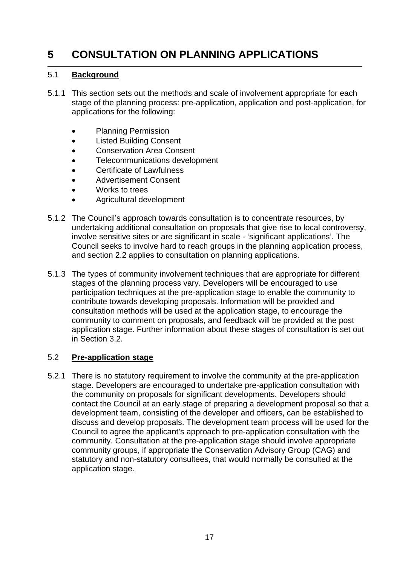# **5 CONSULTATION ON PLANNING APPLICATIONS**

#### 5.1 **Background**

- 5.1.1 This section sets out the methods and scale of involvement appropriate for each stage of the planning process: pre-application, application and post-application, for applications for the following:
	- Planning Permission
	- Listed Building Consent
	- Conservation Area Consent
	- Telecommunications development
	- Certificate of Lawfulness
	- Advertisement Consent
	- Works to trees
	- Agricultural development
- 5.1.2 The Council's approach towards consultation is to concentrate resources, by undertaking additional consultation on proposals that give rise to local controversy, involve sensitive sites or are significant in scale - 'significant applications'. The Council seeks to involve hard to reach groups in the planning application process, and section 2.2 applies to consultation on planning applications.
- 5.1.3 The types of community involvement techniques that are appropriate for different stages of the planning process vary. Developers will be encouraged to use participation techniques at the pre-application stage to enable the community to contribute towards developing proposals. Information will be provided and consultation methods will be used at the application stage, to encourage the community to comment on proposals, and feedback will be provided at the post application stage. Further information about these stages of consultation is set out in Section 3.2.

#### 5.2 **Pre-application stage**

5.2.1 There is no statutory requirement to involve the community at the pre-application stage. Developers are encouraged to undertake pre-application consultation with the community on proposals for significant developments. Developers should contact the Council at an early stage of preparing a development proposal so that a development team, consisting of the developer and officers, can be established to discuss and develop proposals. The development team process will be used for the Council to agree the applicant's approach to pre-application consultation with the community. Consultation at the pre-application stage should involve appropriate community groups, if appropriate the Conservation Advisory Group (CAG) and statutory and non-statutory consultees, that would normally be consulted at the application stage.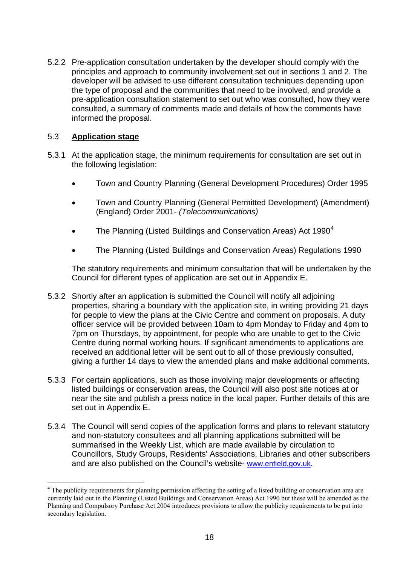5.2.2 Pre-application consultation undertaken by the developer should comply with the principles and approach to community involvement set out in sections 1 and 2. The developer will be advised to use different consultation techniques depending upon the type of proposal and the communities that need to be involved, and provide a pre-application consultation statement to set out who was consulted, how they were consulted, a summary of comments made and details of how the comments have informed the proposal.

#### 5.3 **Application stage**

1

- 5.3.1 At the application stage, the minimum requirements for consultation are set out in the following legislation:
	- Town and Country Planning (General Development Procedures) Order 1995
	- Town and Country Planning (General Permitted Development) (Amendment) (England) Order 2001- *(Telecommunications)*
	- The Planning (Listed Buildings and Conservation Areas) Act 1990 $4$
	- The Planning (Listed Buildings and Conservation Areas) Regulations 1990

The statutory requirements and minimum consultation that will be undertaken by the Council for different types of application are set out in Appendix E.

- 5.3.2 Shortly after an application is submitted the Council will notify all adjoining properties, sharing a boundary with the application site, in writing providing 21 days for people to view the plans at the Civic Centre and comment on proposals. A duty officer service will be provided between 10am to 4pm Monday to Friday and 4pm to 7pm on Thursdays, by appointment, for people who are unable to get to the Civic Centre during normal working hours. If significant amendments to applications are received an additional letter will be sent out to all of those previously consulted, giving a further 14 days to view the amended plans and make additional comments.
- 5.3.3 For certain applications, such as those involving major developments or affecting listed buildings or conservation areas, the Council will also post site notices at or near the site and publish a press notice in the local paper. Further details of this are set out in Appendix E.
- 5.3.4 The Council will send copies of the application forms and plans to relevant statutory and non-statutory consultees and all planning applications submitted will be summarised in the Weekly List, which are made available by circulation to Councillors, Study Groups, Residents' Associations, Libraries and other subscribers and are also published on the Council's website- [www.enfield.gov.uk](http://www.enfield.gov.uk/).

<span id="page-21-0"></span><sup>&</sup>lt;sup>4</sup> The publicity requirements for planning permission affecting the setting of a listed building or conservation area are currently laid out in the Planning (Listed Buildings and Conservation Areas) Act 1990 but these will be amended as the Planning and Compulsory Purchase Act 2004 introduces provisions to allow the publicity requirements to be put into secondary legislation.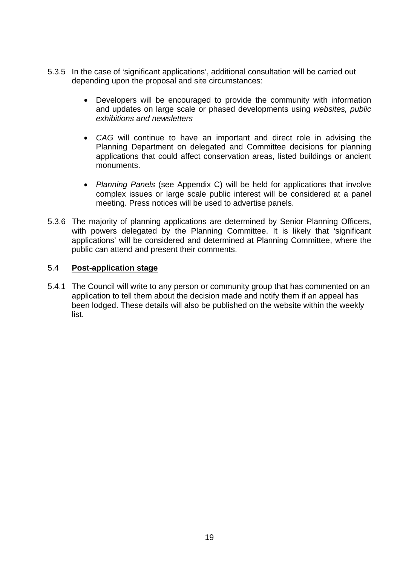- 5.3.5 In the case of 'significant applications', additional consultation will be carried out depending upon the proposal and site circumstances:
	- Developers will be encouraged to provide the community with information and updates on large scale or phased developments using *websites, public exhibitions and newsletters*
	- *CAG* will continue to have an important and direct role in advising the Planning Department on delegated and Committee decisions for planning applications that could affect conservation areas, listed buildings or ancient monuments.
	- *Planning Pan*e*ls* (see Appendix C) will be held for applications that involve complex issues or large scale public interest will be considered at a panel meeting. Press notices will be used to advertise panels.
- 5.3.6 The majority of planning applications are determined by Senior Planning Officers, with powers delegated by the Planning Committee. It is likely that 'significant applications' will be considered and determined at Planning Committee, where the public can attend and present their comments.

#### 5.4 **Post-application stage**

5.4.1 The Council will write to any person or community group that has commented on an application to tell them about the decision made and notify them if an appeal has been lodged. These details will also be published on the website within the weekly list.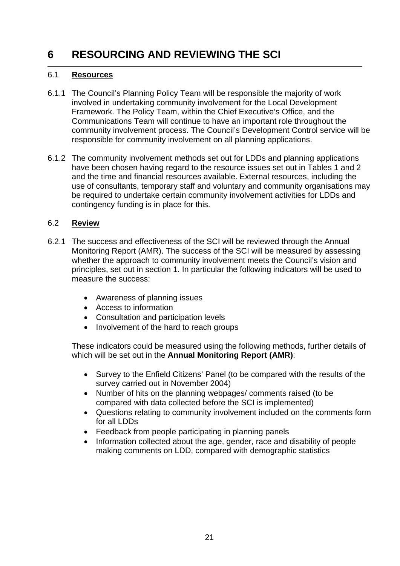# **6 RESOURCING AND REVIEWING THE SCI**

#### 6.1 **Resources**

- 6.1.1 The Council's Planning Policy Team will be responsible the majority of work involved in undertaking community involvement for the Local Development Framework. The Policy Team, within the Chief Executive's Office, and the Communications Team will continue to have an important role throughout the community involvement process. The Council's Development Control service will be responsible for community involvement on all planning applications.
- 6.1.2 The community involvement methods set out for LDDs and planning applications have been chosen having regard to the resource issues set out in Tables 1 and 2 and the time and financial resources available. External resources, including the use of consultants, temporary staff and voluntary and community organisations may be required to undertake certain community involvement activities for LDDs and contingency funding is in place for this.

#### 6.2 **Review**

- 6.2.1 The success and effectiveness of the SCI will be reviewed through the Annual Monitoring Report (AMR). The success of the SCI will be measured by assessing whether the approach to community involvement meets the Council's vision and principles, set out in section 1. In particular the following indicators will be used to measure the success:
	- Awareness of planning issues
	- Access to information
	- Consultation and participation levels
	- Involvement of the hard to reach groups

These indicators could be measured using the following methods, further details of which will be set out in the **Annual Monitoring Report (AMR)**:

- Survey to the Enfield Citizens' Panel (to be compared with the results of the survey carried out in November 2004)
- Number of hits on the planning webpages/ comments raised (to be compared with data collected before the SCI is implemented)
- Questions relating to community involvement included on the comments form for all LDDs
- Feedback from people participating in planning panels
- Information collected about the age, gender, race and disability of people making comments on LDD, compared with demographic statistics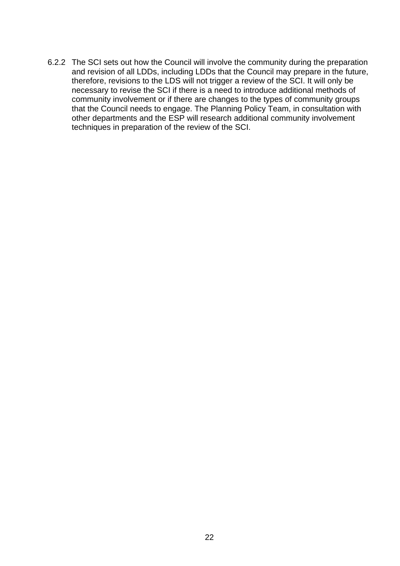6.2.2 The SCI sets out how the Council will involve the community during the preparation and revision of all LDDs, including LDDs that the Council may prepare in the future, therefore, revisions to the LDS will not trigger a review of the SCI. It will only be necessary to revise the SCI if there is a need to introduce additional methods of community involvement or if there are changes to the types of community groups that the Council needs to engage. The Planning Policy Team, in consultation with other departments and the ESP will research additional community involvement techniques in preparation of the review of the SCI.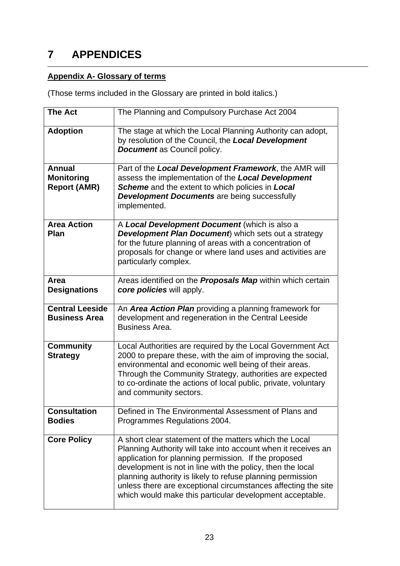# **7 APPENDICES**

# **Appendix A- Glossary of terms**

(Those terms included in the Glossary are printed in bold italics.)

| <b>The Act</b>                                            | The Planning and Compulsory Purchase Act 2004                                                                                                                                                                                                                                                                                                                                                                                            |
|-----------------------------------------------------------|------------------------------------------------------------------------------------------------------------------------------------------------------------------------------------------------------------------------------------------------------------------------------------------------------------------------------------------------------------------------------------------------------------------------------------------|
| <b>Adoption</b>                                           | The stage at which the Local Planning Authority can adopt,<br>by resolution of the Council, the Local Development<br><b>Document</b> as Council policy.                                                                                                                                                                                                                                                                                  |
| <b>Annual</b><br><b>Monitoring</b><br><b>Report (AMR)</b> | Part of the Local Development Framework, the AMR will<br>assess the implementation of the Local Development<br><b>Scheme</b> and the extent to which policies in <b>Local</b><br><b>Development Documents</b> are being successfully<br>implemented.                                                                                                                                                                                     |
| <b>Area Action</b><br>Plan                                | A Local Development Document (which is also a<br><b>Development Plan Document</b> ) which sets out a strategy<br>for the future planning of areas with a concentration of<br>proposals for change or where land uses and activities are<br>particularly complex.                                                                                                                                                                         |
| Area<br><b>Designations</b>                               | Areas identified on the <b>Proposals Map</b> within which certain<br>core policies will apply.                                                                                                                                                                                                                                                                                                                                           |
| <b>Central Leeside</b><br><b>Business Area</b>            | An <b>Area Action Plan</b> providing a planning framework for<br>development and regeneration in the Central Leeside<br>Business Area.                                                                                                                                                                                                                                                                                                   |
| <b>Community</b><br><b>Strategy</b>                       | Local Authorities are required by the Local Government Act<br>2000 to prepare these, with the aim of improving the social,<br>environmental and economic well being of their areas.<br>Through the Community Strategy, authorities are expected<br>to co-ordinate the actions of local public, private, voluntary<br>and community sectors.                                                                                              |
| <b>Consultation</b><br><b>Bodies</b>                      | Defined in The Environmental Assessment of Plans and<br>Programmes Regulations 2004.                                                                                                                                                                                                                                                                                                                                                     |
| <b>Core Policy</b>                                        | A short clear statement of the matters which the Local<br>Planning Authority will take into account when it receives an<br>application for planning permission. If the proposed<br>development is not in line with the policy, then the local<br>planning authority is likely to refuse planning permission<br>unless there are exceptional circumstances affecting the site<br>which would make this particular development acceptable. |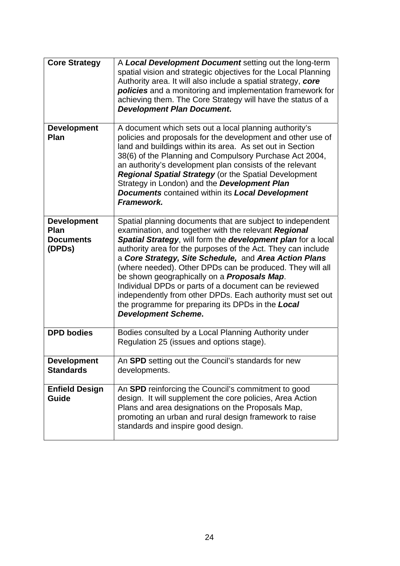| <b>Core Strategy</b>                                     | A Local Development Document setting out the long-term<br>spatial vision and strategic objectives for the Local Planning<br>Authority area. It will also include a spatial strategy, core<br><b>policies</b> and a monitoring and implementation framework for<br>achieving them. The Core Strategy will have the status of a<br><b>Development Plan Document.</b>                                                                                                                                                                                                                                                                         |
|----------------------------------------------------------|--------------------------------------------------------------------------------------------------------------------------------------------------------------------------------------------------------------------------------------------------------------------------------------------------------------------------------------------------------------------------------------------------------------------------------------------------------------------------------------------------------------------------------------------------------------------------------------------------------------------------------------------|
| <b>Development</b><br>Plan                               | A document which sets out a local planning authority's<br>policies and proposals for the development and other use of<br>land and buildings within its area. As set out in Section<br>38(6) of the Planning and Compulsory Purchase Act 2004,<br>an authority's development plan consists of the relevant<br><b>Regional Spatial Strategy (or the Spatial Development</b><br>Strategy in London) and the <b>Development Plan</b><br><b>Documents contained within its Local Development</b><br>Framework.                                                                                                                                  |
| <b>Development</b><br>Plan<br><b>Documents</b><br>(DPDs) | Spatial planning documents that are subject to independent<br>examination, and together with the relevant Regional<br>Spatial Strategy, will form the development plan for a local<br>authority area for the purposes of the Act. They can include<br>a Core Strategy, Site Schedule, and Area Action Plans<br>(where needed). Other DPDs can be produced. They will all<br>be shown geographically on a <b>Proposals Map</b> .<br>Individual DPDs or parts of a document can be reviewed<br>independently from other DPDs. Each authority must set out<br>the programme for preparing its DPDs in the Local<br><b>Development Scheme.</b> |
| <b>DPD</b> bodies                                        | Bodies consulted by a Local Planning Authority under<br>Regulation 25 (issues and options stage).                                                                                                                                                                                                                                                                                                                                                                                                                                                                                                                                          |
| <b>Development</b><br><b>Standards</b>                   | An SPD setting out the Council's standards for new<br>developments.                                                                                                                                                                                                                                                                                                                                                                                                                                                                                                                                                                        |
| <b>Enfield Design</b><br>Guide                           | An SPD reinforcing the Council's commitment to good<br>design. It will supplement the core policies, Area Action<br>Plans and area designations on the Proposals Map,<br>promoting an urban and rural design framework to raise<br>standards and inspire good design.                                                                                                                                                                                                                                                                                                                                                                      |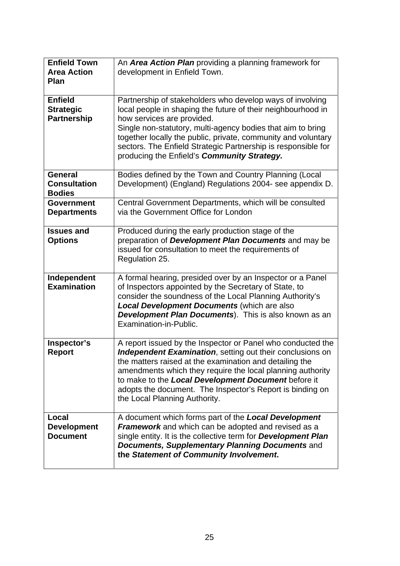| <b>Enfield Town</b><br><b>Area Action</b><br><b>Plan</b> | An Area Action Plan providing a planning framework for<br>development in Enfield Town.                                                                                                                                                                                                                                                                                                                               |
|----------------------------------------------------------|----------------------------------------------------------------------------------------------------------------------------------------------------------------------------------------------------------------------------------------------------------------------------------------------------------------------------------------------------------------------------------------------------------------------|
| <b>Enfield</b><br><b>Strategic</b><br><b>Partnership</b> | Partnership of stakeholders who develop ways of involving<br>local people in shaping the future of their neighbourhood in<br>how services are provided.<br>Single non-statutory, multi-agency bodies that aim to bring<br>together locally the public, private, community and voluntary<br>sectors. The Enfield Strategic Partnership is responsible for<br>producing the Enfield's Community Strategy.              |
| <b>General</b><br><b>Consultation</b><br><b>Bodies</b>   | Bodies defined by the Town and Country Planning (Local<br>Development) (England) Regulations 2004- see appendix D.                                                                                                                                                                                                                                                                                                   |
| <b>Government</b><br><b>Departments</b>                  | Central Government Departments, which will be consulted<br>via the Government Office for London                                                                                                                                                                                                                                                                                                                      |
| <b>Issues and</b><br><b>Options</b>                      | Produced during the early production stage of the<br>preparation of Development Plan Documents and may be<br>issued for consultation to meet the requirements of<br>Regulation 25.                                                                                                                                                                                                                                   |
| Independent<br><b>Examination</b>                        | A formal hearing, presided over by an Inspector or a Panel<br>of Inspectors appointed by the Secretary of State, to<br>consider the soundness of the Local Planning Authority's<br><b>Local Development Documents (which are also</b><br><b>Development Plan Documents</b> ). This is also known as an<br>Examination-in-Public.                                                                                     |
| Inspector's<br><b>Report</b>                             | A report issued by the Inspector or Panel who conducted the<br><b>Independent Examination, setting out their conclusions on</b><br>the matters raised at the examination and detailing the<br>amendments which they require the local planning authority<br>to make to the <b>Local Development Document</b> before it<br>adopts the document. The Inspector's Report is binding on<br>the Local Planning Authority. |
| Local<br><b>Development</b><br><b>Document</b>           | A document which forms part of the Local Development<br>Framework and which can be adopted and revised as a<br>single entity. It is the collective term for <b>Development Plan</b><br><b>Documents, Supplementary Planning Documents and</b><br>the Statement of Community Involvement.                                                                                                                             |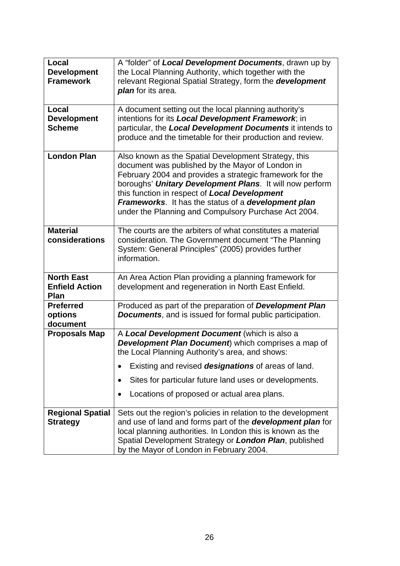| Local<br><b>Development</b><br><b>Framework</b>    | A "folder" of Local Development Documents, drawn up by<br>the Local Planning Authority, which together with the<br>relevant Regional Spatial Strategy, form the <b>development</b><br>plan for its area.                                                                                                                                                                                         |
|----------------------------------------------------|--------------------------------------------------------------------------------------------------------------------------------------------------------------------------------------------------------------------------------------------------------------------------------------------------------------------------------------------------------------------------------------------------|
| Local<br><b>Development</b><br><b>Scheme</b>       | A document setting out the local planning authority's<br>intentions for its Local Development Framework, in<br>particular, the Local Development Documents it intends to<br>produce and the timetable for their production and review.                                                                                                                                                           |
| <b>London Plan</b>                                 | Also known as the Spatial Development Strategy, this<br>document was published by the Mayor of London in<br>February 2004 and provides a strategic framework for the<br>boroughs' Unitary Development Plans. It will now perform<br>this function in respect of Local Development<br>Frameworks. It has the status of a development plan<br>under the Planning and Compulsory Purchase Act 2004. |
| <b>Material</b><br>considerations                  | The courts are the arbiters of what constitutes a material<br>consideration. The Government document "The Planning<br>System: General Principles" (2005) provides further<br>information.                                                                                                                                                                                                        |
| <b>North East</b><br><b>Enfield Action</b><br>Plan | An Area Action Plan providing a planning framework for<br>development and regeneration in North East Enfield.                                                                                                                                                                                                                                                                                    |
| <b>Preferred</b><br>options<br>document            | Produced as part of the preparation of Development Plan<br><b>Documents, and is issued for formal public participation.</b>                                                                                                                                                                                                                                                                      |
| <b>Proposals Map</b>                               | A Local Development Document (which is also a<br>Development Plan Document) which comprises a map of<br>the Local Planning Authority's area, and shows:<br>Existing and revised <b>designations</b> of areas of land.<br>Sites for particular future land uses or developments.<br>Locations of proposed or actual area plans.                                                                   |
| <b>Regional Spatial</b><br><b>Strategy</b>         | Sets out the region's policies in relation to the development<br>and use of land and forms part of the <b>development plan</b> for<br>local planning authorities. In London this is known as the<br>Spatial Development Strategy or London Plan, published<br>by the Mayor of London in February 2004.                                                                                           |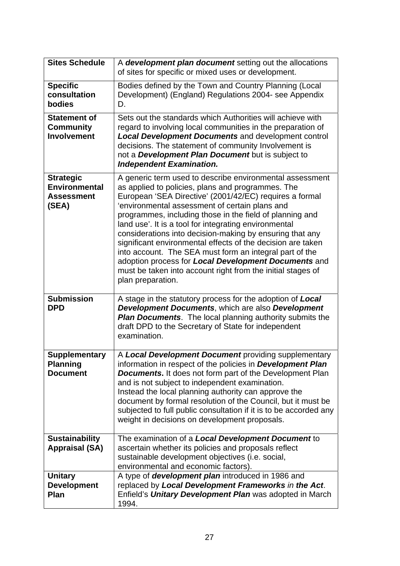| <b>Sites Schedule</b>                                                  | A development plan document setting out the allocations<br>of sites for specific or mixed uses or development.                                                                                                                                                                                                                                                                                                                                                                                                                                                                                                                                                                    |
|------------------------------------------------------------------------|-----------------------------------------------------------------------------------------------------------------------------------------------------------------------------------------------------------------------------------------------------------------------------------------------------------------------------------------------------------------------------------------------------------------------------------------------------------------------------------------------------------------------------------------------------------------------------------------------------------------------------------------------------------------------------------|
| <b>Specific</b><br>consultation<br>bodies                              | Bodies defined by the Town and Country Planning (Local<br>Development) (England) Regulations 2004- see Appendix<br>D.                                                                                                                                                                                                                                                                                                                                                                                                                                                                                                                                                             |
| <b>Statement of</b><br><b>Community</b><br><b>Involvement</b>          | Sets out the standards which Authorities will achieve with<br>regard to involving local communities in the preparation of<br><b>Local Development Documents and development control</b><br>decisions. The statement of community Involvement is<br>not a <b>Development Plan Document</b> but is subject to<br><b>Independent Examination.</b>                                                                                                                                                                                                                                                                                                                                    |
| <b>Strategic</b><br><b>Environmental</b><br><b>Assessment</b><br>(SEA) | A generic term used to describe environmental assessment<br>as applied to policies, plans and programmes. The<br>European 'SEA Directive' (2001/42/EC) requires a formal<br>'environmental assessment of certain plans and<br>programmes, including those in the field of planning and<br>land use'. It is a tool for integrating environmental<br>considerations into decision-making by ensuring that any<br>significant environmental effects of the decision are taken<br>into account. The SEA must form an integral part of the<br>adoption process for Local Development Documents and<br>must be taken into account right from the initial stages of<br>plan preparation. |
| <b>Submission</b><br><b>DPD</b>                                        | A stage in the statutory process for the adoption of Local<br><b>Development Documents, which are also Development</b><br><b>Plan Documents.</b> The local planning authority submits the<br>draft DPD to the Secretary of State for independent<br>examination.                                                                                                                                                                                                                                                                                                                                                                                                                  |
| <b>Supplementary</b><br><b>Planning</b><br><b>Document</b>             | A <b>Local Development Document</b> providing supplementary<br>information in respect of the policies in <b>Development Plan</b><br><b>Documents.</b> It does not form part of the Development Plan<br>and is not subject to independent examination.<br>Instead the local planning authority can approve the<br>document by formal resolution of the Council, but it must be<br>subjected to full public consultation if it is to be accorded any<br>weight in decisions on development proposals.                                                                                                                                                                               |
| <b>Sustainability</b><br><b>Appraisal (SA)</b>                         | The examination of a Local Development Document to<br>ascertain whether its policies and proposals reflect<br>sustainable development objectives (i.e. social,<br>environmental and economic factors).                                                                                                                                                                                                                                                                                                                                                                                                                                                                            |
| <b>Unitary</b><br><b>Development</b><br>Plan                           | A type of <b>development plan</b> introduced in 1986 and<br>replaced by Local Development Frameworks in the Act.<br>Enfield's Unitary Development Plan was adopted in March<br>1994.                                                                                                                                                                                                                                                                                                                                                                                                                                                                                              |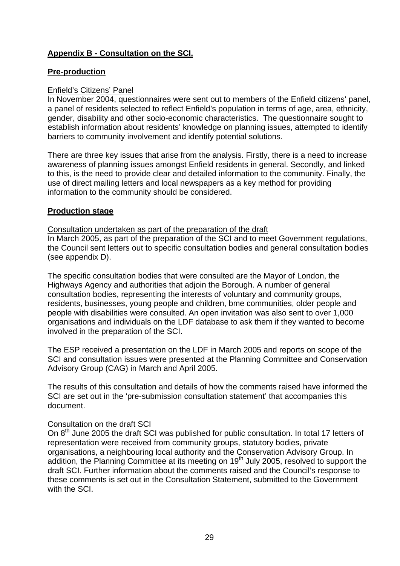# **Appendix B - Consultation on the SCI.**

#### **Pre-production**

#### Enfield's Citizens' Panel

In November 2004, questionnaires were sent out to members of the Enfield citizens' panel, a panel of residents selected to reflect Enfield's population in terms of age, area, ethnicity, gender, disability and other socio-economic characteristics. The questionnaire sought to establish information about residents' knowledge on planning issues, attempted to identify barriers to community involvement and identify potential solutions.

There are three key issues that arise from the analysis. Firstly, there is a need to increase awareness of planning issues amongst Enfield residents in general. Secondly, and linked to this, is the need to provide clear and detailed information to the community. Finally, the use of direct mailing letters and local newspapers as a key method for providing information to the community should be considered.

#### **Production stage**

Consultation undertaken as part of the preparation of the draft

In March 2005, as part of the preparation of the SCI and to meet Government regulations, the Council sent letters out to specific consultation bodies and general consultation bodies (see appendix D).

The specific consultation bodies that were consulted are the Mayor of London, the Highways Agency and authorities that adjoin the Borough. A number of general consultation bodies, representing the interests of voluntary and community groups, residents, businesses, young people and children, bme communities, older people and people with disabilities were consulted. An open invitation was also sent to over 1,000 organisations and individuals on the LDF database to ask them if they wanted to become involved in the preparation of the SCI.

The ESP received a presentation on the LDF in March 2005 and reports on scope of the SCI and consultation issues were presented at the Planning Committee and Conservation Advisory Group (CAG) in March and April 2005.

The results of this consultation and details of how the comments raised have informed the SCI are set out in the 'pre-submission consultation statement' that accompanies this document.

#### Consultation on the draft SCI

On 8<sup>th</sup> June 2005 the draft SCI was published for public consultation. In total 17 letters of representation were received from community groups, statutory bodies, private organisations, a neighbouring local authority and the Conservation Advisory Group. In addition, the Planning Committee at its meeting on 19<sup>th</sup> July 2005, resolved to support the draft SCI. Further information about the comments raised and the Council's response to these comments is set out in the Consultation Statement, submitted to the Government with the SCI.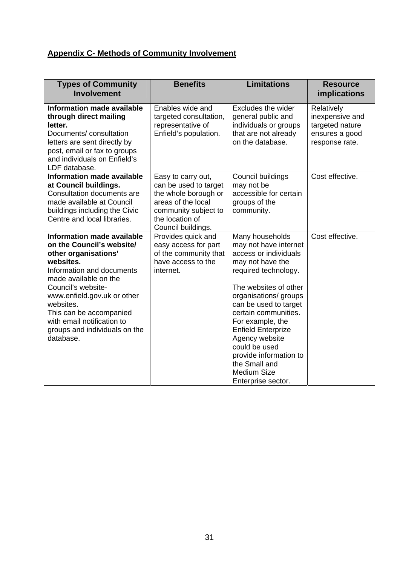# **Appendix C- Methods of Community Involvement**

| <b>Types of Community</b><br><b>Involvement</b>                                                                                                                                                                                                                                                                                    | <b>Benefits</b>                                                                                                                      | <b>Limitations</b>                                                                                                                                                                                                                                                                                                                                                                          | <b>Resource</b><br>implications                                        |
|------------------------------------------------------------------------------------------------------------------------------------------------------------------------------------------------------------------------------------------------------------------------------------------------------------------------------------|--------------------------------------------------------------------------------------------------------------------------------------|---------------------------------------------------------------------------------------------------------------------------------------------------------------------------------------------------------------------------------------------------------------------------------------------------------------------------------------------------------------------------------------------|------------------------------------------------------------------------|
| <b>Information made available</b>                                                                                                                                                                                                                                                                                                  | Enables wide and                                                                                                                     | Excludes the wider                                                                                                                                                                                                                                                                                                                                                                          | Relatively                                                             |
| through direct mailing<br>letter.<br>Documents/consultation<br>letters are sent directly by<br>post, email or fax to groups<br>and individuals on Enfield's                                                                                                                                                                        | targeted consultation,<br>representative of<br>Enfield's population.                                                                 | general public and<br>individuals or groups<br>that are not already<br>on the database.                                                                                                                                                                                                                                                                                                     | inexpensive and<br>targeted nature<br>ensures a good<br>response rate. |
| LDF database.<br>Information made available                                                                                                                                                                                                                                                                                        | Easy to carry out,                                                                                                                   | Council buildings                                                                                                                                                                                                                                                                                                                                                                           | Cost effective.                                                        |
| at Council buildings.<br>Consultation documents are<br>made available at Council<br>buildings including the Civic<br>Centre and local libraries.                                                                                                                                                                                   | can be used to target<br>the whole borough or<br>areas of the local<br>community subject to<br>the location of<br>Council buildings. | may not be<br>accessible for certain<br>groups of the<br>community.                                                                                                                                                                                                                                                                                                                         |                                                                        |
| <b>Information made available</b><br>on the Council's website/<br>other organisations'<br>websites.<br>Information and documents<br>made available on the<br>Council's website-<br>www.enfield.gov.uk or other<br>websites.<br>This can be accompanied<br>with email notification to<br>groups and individuals on the<br>database. | Provides quick and<br>easy access for part<br>of the community that<br>have access to the<br>internet.                               | Many households<br>may not have internet<br>access or individuals<br>may not have the<br>required technology.<br>The websites of other<br>organisations/ groups<br>can be used to target<br>certain communities.<br>For example, the<br><b>Enfield Enterprize</b><br>Agency website<br>could be used<br>provide information to<br>the Small and<br><b>Medium Size</b><br>Enterprise sector. | Cost effective.                                                        |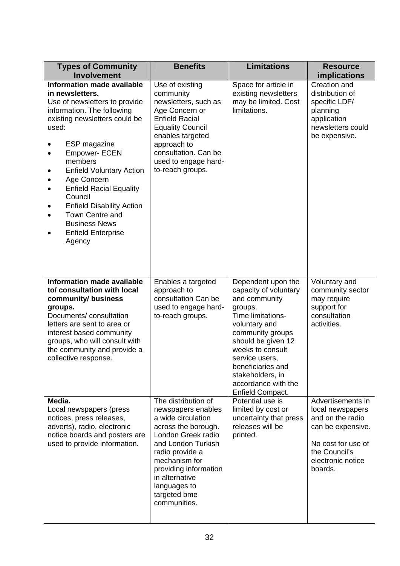| <b>Types of Community</b><br><b>Involvement</b>                                                                                                                                                                                                                                                                                                                                                                                       | <b>Benefits</b>                                                                                                                                                                                                                                                   | <b>Limitations</b>                                                                                                                                                                                                                                                                | <b>Resource</b><br><b>implications</b>                                                                                                                |
|---------------------------------------------------------------------------------------------------------------------------------------------------------------------------------------------------------------------------------------------------------------------------------------------------------------------------------------------------------------------------------------------------------------------------------------|-------------------------------------------------------------------------------------------------------------------------------------------------------------------------------------------------------------------------------------------------------------------|-----------------------------------------------------------------------------------------------------------------------------------------------------------------------------------------------------------------------------------------------------------------------------------|-------------------------------------------------------------------------------------------------------------------------------------------------------|
| <b>Information made available</b><br>in newsletters.<br>Use of newsletters to provide<br>information. The following<br>existing newsletters could be<br>used:<br>ESP magazine<br><b>Empower- ECEN</b><br>members<br><b>Enfield Voluntary Action</b><br>Age Concern<br><b>Enfield Racial Equality</b><br>Council<br><b>Enfield Disability Action</b><br>Town Centre and<br><b>Business News</b><br><b>Enfield Enterprise</b><br>Agency | Use of existing<br>community<br>newsletters, such as<br>Age Concern or<br><b>Enfield Racial</b><br><b>Equality Council</b><br>enables targeted<br>approach to<br>consultation. Can be<br>used to engage hard-<br>to-reach groups.                                 | Space for article in<br>existing newsletters<br>may be limited. Cost<br>limitations.                                                                                                                                                                                              | Creation and<br>distribution of<br>specific LDF/<br>planning<br>application<br>newsletters could<br>be expensive.                                     |
| <b>Information made available</b><br>to/ consultation with local<br>community/ business<br>groups.<br>Documents/consultation<br>letters are sent to area or<br>interest based community<br>groups, who will consult with<br>the community and provide a<br>collective response.                                                                                                                                                       | Enables a targeted<br>approach to<br>consultation Can be<br>used to engage hard-<br>to-reach groups.                                                                                                                                                              | Dependent upon the<br>capacity of voluntary<br>and community<br>groups.<br>Time limitations-<br>voluntary and<br>community groups<br>should be given 12<br>weeks to consult<br>service users,<br>beneficiaries and<br>stakeholders, in<br>accordance with the<br>Enfield Compact. | Voluntary and<br>community sector<br>may require<br>support for<br>consultation<br>activities.                                                        |
| Media.<br>Local newspapers (press<br>notices, press releases,<br>adverts), radio, electronic<br>notice boards and posters are<br>used to provide information.                                                                                                                                                                                                                                                                         | The distribution of<br>newspapers enables<br>a wide circulation<br>across the borough.<br>London Greek radio<br>and London Turkish<br>radio provide a<br>mechanism for<br>providing information<br>in alternative<br>languages to<br>targeted bme<br>communities. | Potential use is<br>limited by cost or<br>uncertainty that press<br>releases will be<br>printed.                                                                                                                                                                                  | Advertisements in<br>local newspapers<br>and on the radio<br>can be expensive.<br>No cost for use of<br>the Council's<br>electronic notice<br>boards. |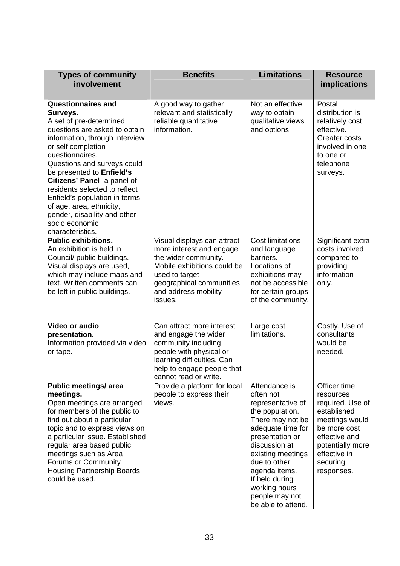| <b>Types of community</b>                                                                                                                                                                                                                                                                                                                                                                                                                   | <b>Benefits</b>                                                                                                                                                                                 | <b>Limitations</b>                                                                                                                                                                                                                                                               | <b>Resource</b>                                                                                                                                                               |
|---------------------------------------------------------------------------------------------------------------------------------------------------------------------------------------------------------------------------------------------------------------------------------------------------------------------------------------------------------------------------------------------------------------------------------------------|-------------------------------------------------------------------------------------------------------------------------------------------------------------------------------------------------|----------------------------------------------------------------------------------------------------------------------------------------------------------------------------------------------------------------------------------------------------------------------------------|-------------------------------------------------------------------------------------------------------------------------------------------------------------------------------|
| involvement                                                                                                                                                                                                                                                                                                                                                                                                                                 |                                                                                                                                                                                                 |                                                                                                                                                                                                                                                                                  | <b>implications</b>                                                                                                                                                           |
|                                                                                                                                                                                                                                                                                                                                                                                                                                             |                                                                                                                                                                                                 |                                                                                                                                                                                                                                                                                  |                                                                                                                                                                               |
| <b>Questionnaires and</b><br>Surveys.<br>A set of pre-determined<br>questions are asked to obtain<br>information, through interview<br>or self completion<br>questionnaires.<br>Questions and surveys could<br>be presented to Enfield's<br>Citizens' Panel- a panel of<br>residents selected to reflect<br>Enfield's population in terms<br>of age, area, ethnicity,<br>gender, disability and other<br>socio economic<br>characteristics. | A good way to gather<br>relevant and statistically<br>reliable quantitative<br>information.                                                                                                     | Not an effective<br>way to obtain<br>qualitative views<br>and options.                                                                                                                                                                                                           | Postal<br>distribution is<br>relatively cost<br>effective.<br>Greater costs<br>involved in one<br>to one or<br>telephone<br>surveys.                                          |
| <b>Public exhibitions.</b><br>An exhibition is held in<br>Council/ public buildings.<br>Visual displays are used,<br>which may include maps and<br>text. Written comments can<br>be left in public buildings.                                                                                                                                                                                                                               | Visual displays can attract<br>more interest and engage<br>the wider community.<br>Mobile exhibitions could be<br>used to target<br>geographical communities<br>and address mobility<br>issues. | <b>Cost limitations</b><br>and language<br>barriers.<br>Locations of<br>exhibitions may<br>not be accessible<br>for certain groups<br>of the community.                                                                                                                          | Significant extra<br>costs involved<br>compared to<br>providing<br>information<br>only.                                                                                       |
| Video or audio<br>presentation.<br>Information provided via video<br>or tape.                                                                                                                                                                                                                                                                                                                                                               | Can attract more interest<br>and engage the wider<br>community including<br>people with physical or<br>learning difficulties. Can<br>help to engage people that<br>cannot read or write.        | Large cost<br>limitations.                                                                                                                                                                                                                                                       | Costly. Use of<br>consultants<br>would be<br>needed.                                                                                                                          |
| <b>Public meetings/area</b><br>meetings.<br>Open meetings are arranged<br>for members of the public to<br>find out about a particular<br>topic and to express views on<br>a particular issue. Established<br>regular area based public<br>meetings such as Area<br>Forums or Community<br><b>Housing Partnership Boards</b><br>could be used.                                                                                               | Provide a platform for local<br>people to express their<br>views.                                                                                                                               | Attendance is<br>often not<br>representative of<br>the population.<br>There may not be<br>adequate time for<br>presentation or<br>discussion at<br>existing meetings<br>due to other<br>agenda items.<br>If held during<br>working hours<br>people may not<br>be able to attend. | Officer time<br>resources<br>required. Use of<br>established<br>meetings would<br>be more cost<br>effective and<br>potentially more<br>effective in<br>securing<br>responses. |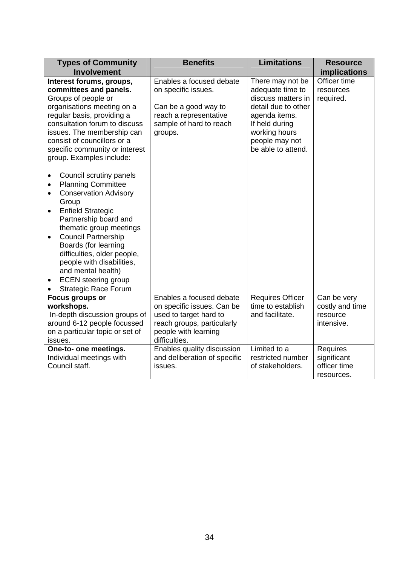| <b>Types of Community</b><br><b>Involvement</b>                                                                                                                                                                                                                                                                                                                                                                        | <b>Benefits</b>                                                                                                                                         | <b>Limitations</b>                                                                                                                                                            | <b>Resource</b><br>implications                          |
|------------------------------------------------------------------------------------------------------------------------------------------------------------------------------------------------------------------------------------------------------------------------------------------------------------------------------------------------------------------------------------------------------------------------|---------------------------------------------------------------------------------------------------------------------------------------------------------|-------------------------------------------------------------------------------------------------------------------------------------------------------------------------------|----------------------------------------------------------|
| Interest forums, groups,<br>committees and panels.<br>Groups of people or<br>organisations meeting on a<br>regular basis, providing a<br>consultation forum to discuss<br>issues. The membership can<br>consist of councillors or a<br>specific community or interest<br>group. Examples include:                                                                                                                      | Enables a focused debate<br>on specific issues.<br>Can be a good way to<br>reach a representative<br>sample of hard to reach<br>groups.                 | There may not be<br>adequate time to<br>discuss matters in<br>detail due to other<br>agenda items.<br>If held during<br>working hours<br>people may not<br>be able to attend. | Officer time<br>resources<br>required.                   |
| Council scrutiny panels<br>$\bullet$<br><b>Planning Committee</b><br>٠<br><b>Conservation Advisory</b><br>$\bullet$<br>Group<br><b>Enfield Strategic</b><br>٠<br>Partnership board and<br>thematic group meetings<br><b>Council Partnership</b><br>Boards (for learning<br>difficulties, older people,<br>people with disabilities,<br>and mental health)<br><b>ECEN</b> steering group<br><b>Strategic Race Forum</b> |                                                                                                                                                         |                                                                                                                                                                               |                                                          |
| Focus groups or<br>workshops.<br>In-depth discussion groups of<br>around 6-12 people focussed<br>on a particular topic or set of<br>issues.                                                                                                                                                                                                                                                                            | Enables a focused debate<br>on specific issues. Can be<br>used to target hard to<br>reach groups, particularly<br>people with learning<br>difficulties. | Requires Officer<br>time to establish<br>and facilitate.                                                                                                                      | Can be very<br>costly and time<br>resource<br>intensive. |
| One-to- one meetings.<br>Individual meetings with<br>Council staff.                                                                                                                                                                                                                                                                                                                                                    | Enables quality discussion<br>and deliberation of specific<br>issues.                                                                                   | Limited to a<br>restricted number<br>of stakeholders.                                                                                                                         | Requires<br>significant<br>officer time<br>resources.    |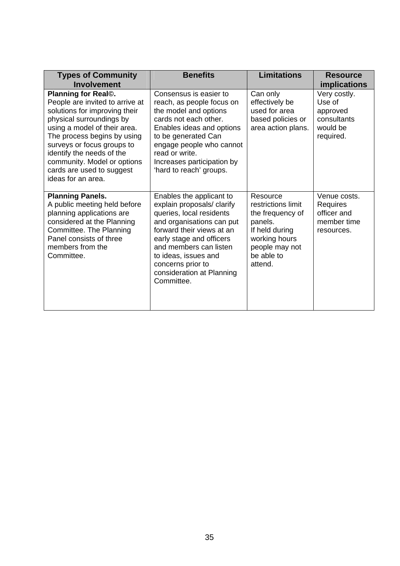| <b>Types of Community</b><br><b>Involvement</b>                                                                                                                                                                                                                                                                                        | <b>Benefits</b>                                                                                                                                                                                                                                                                            | <b>Limitations</b>                                                                                                                          | <b>Resource</b><br><i>implications</i>                                     |
|----------------------------------------------------------------------------------------------------------------------------------------------------------------------------------------------------------------------------------------------------------------------------------------------------------------------------------------|--------------------------------------------------------------------------------------------------------------------------------------------------------------------------------------------------------------------------------------------------------------------------------------------|---------------------------------------------------------------------------------------------------------------------------------------------|----------------------------------------------------------------------------|
| <b>Planning for Real©.</b><br>People are invited to arrive at<br>solutions for improving their<br>physical surroundings by<br>using a model of their area.<br>The process begins by using<br>surveys or focus groups to<br>identify the needs of the<br>community. Model or options<br>cards are used to suggest<br>ideas for an area. | Consensus is easier to<br>reach, as people focus on<br>the model and options<br>cards not each other.<br>Enables ideas and options<br>to be generated Can<br>engage people who cannot<br>read or write.<br>Increases participation by<br>'hard to reach' groups.                           | Can only<br>effectively be<br>used for area<br>based policies or<br>area action plans.                                                      | Very costly.<br>Use of<br>approved<br>consultants<br>would be<br>required. |
| <b>Planning Panels.</b><br>A public meeting held before<br>planning applications are<br>considered at the Planning<br>Committee. The Planning<br>Panel consists of three<br>members from the<br>Committee.                                                                                                                             | Enables the applicant to<br>explain proposals/ clarify<br>queries, local residents<br>and organisations can put<br>forward their views at an<br>early stage and officers<br>and members can listen<br>to ideas, issues and<br>concerns prior to<br>consideration at Planning<br>Committee. | Resource<br>restrictions limit<br>the frequency of<br>panels.<br>If held during<br>working hours<br>people may not<br>be able to<br>attend. | Venue costs.<br>Requires<br>officer and<br>member time<br>resources.       |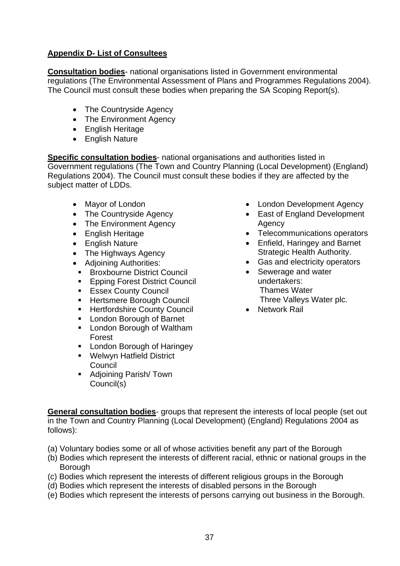### **Appendix D- List of Consultees**

**Consultation bodies**- national organisations listed in Government environmental regulations (The Environmental Assessment of Plans and Programmes Regulations 2004). The Council must consult these bodies when preparing the SA Scoping Report(s).

- The Countryside Agency
- The Environment Agency
- English Heritage
- English Nature

**Specific consultation bodies**- national organisations and authorities listed in Government regulations (The Town and Country Planning (Local Development) (England) Regulations 2004). The Council must consult these bodies if they are affected by the subject matter of LDDs.

- 
- 
- The Environment Agency **Agency** Agency
- 
- English Nature
- The Highways Agency
- 
- Broxbourne District Council
- Epping Forest District Council
- **Essex County Council Community** Thames Water
- Hertsmere Borough Council Three Valleys Water plc.
- Hertfordshire County Council Network Rail
- **London Borough of Barnet**
- **London Borough of Waltham** Forest
- **London Borough of Haringey**
- **Welwyn Hatfield District** Council
- Adjoining Parish/ Town Council(s)
- Mayor of London London  **London Development Agency**
- The Countryside Agency  **East of England Development**
- English Heritage  **Telecommunications operators** 
	- Enfield, Haringey and Barnet Strategic Health Authority.
- Adjoining Authorities: Gas and electricity operators
	- Sewerage and water undertakers:
	-

**General consultation bodies**- groups that represent the interests of local people (set out in the Town and Country Planning (Local Development) (England) Regulations 2004 as follows):

- (a) Voluntary bodies some or all of whose activities benefit any part of the Borough
- (b) Bodies which represent the interests of different racial, ethnic or national groups in the **Borough**
- (c) Bodies which represent the interests of different religious groups in the Borough
- (d) Bodies which represent the interests of disabled persons in the Borough
- (e) Bodies which represent the interests of persons carrying out business in the Borough.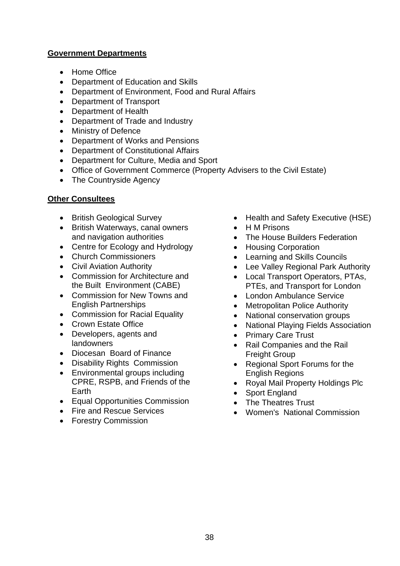#### **Government Departments**

- Home Office
- Department of Education and Skills
- Department of Environment, Food and Rural Affairs
- Department of Transport
- Department of Health
- Department of Trade and Industry
- Ministry of Defence
- Department of Works and Pensions
- Department of Constitutional Affairs
- Department for Culture, Media and Sport
- Office of Government Commerce (Property Advisers to the Civil Estate)
- The Countryside Agency

#### **Other Consultees**

- 
- British Waterways, canal owners and navigation authorities
- Centre for Ecology and Hydrology Housing Corporation
- 
- 
- Commission for Architecture and the Built Environment (CABE)
- Commission for New Towns and English Partnerships
- Commission for Racial Equality National conservation groups
- 
- Developers, agents and landowners
- Diocesan Board of Finance Freight Group
- 
- Environmental groups including English Regions CPRE, RSPB, and Friends of the Earth
- Equal Opportunities Commission The Theatres Trust<br>• Fire and Rescue Services Momen's National
- 
- Forestry Commission
- British Geological Survey Health and Safety Executive (HSE)
	- H M Prisons
	- The House Builders Federation
	-
- Church Commissioners Learning and Skills Councils
- Civil Aviation Authority  **Lee Valley Regional Park Authority** 
	- Local Transport Operators, PTAs, PTEs, and Transport for London
	- London Ambulance Service
	- Metropolitan Police Authority
	-
- Crown Estate Office  **Community 19th National Playing Fields Association** 
	- Primary Care Trust
	- Rail Companies and the Rail
- Disability Rights Commission Regional Sport Forums for the
	- Royal Mail Property Holdings Plc
	- Sport England
	-
	- Women's National Commission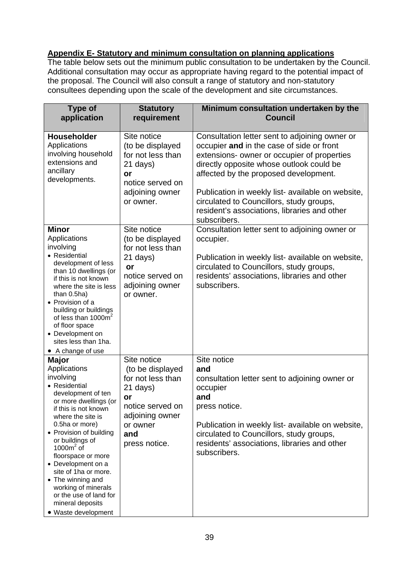### **Appendix E- Statutory and minimum consultation on planning applications**

The table below sets out the minimum public consultation to be undertaken by the Council. Additional consultation may occur as appropriate having regard to the potential impact of the proposal. The Council will also consult a range of statutory and non-statutory consultees depending upon the scale of the development and site circumstances.

| <b>Type of</b><br>application                                                                                                                                                                                                                                                                                                                                                                                                                    | <b>Statutory</b><br>requirement                                                                                                                   | Minimum consultation undertaken by the<br><b>Council</b>                                                                                                                                                                                                                                                                                                                                         |
|--------------------------------------------------------------------------------------------------------------------------------------------------------------------------------------------------------------------------------------------------------------------------------------------------------------------------------------------------------------------------------------------------------------------------------------------------|---------------------------------------------------------------------------------------------------------------------------------------------------|--------------------------------------------------------------------------------------------------------------------------------------------------------------------------------------------------------------------------------------------------------------------------------------------------------------------------------------------------------------------------------------------------|
| <b>Householder</b><br>Applications<br>involving household<br>extensions and<br>ancillary<br>developments.                                                                                                                                                                                                                                                                                                                                        | Site notice<br>(to be displayed<br>for not less than<br>21 days)<br>or<br>notice served on<br>adjoining owner<br>or owner.                        | Consultation letter sent to adjoining owner or<br>occupier and in the case of side or front<br>extensions- owner or occupier of properties<br>directly opposite whose outlook could be<br>affected by the proposed development.<br>Publication in weekly list- available on website,<br>circulated to Councillors, study groups,<br>resident's associations, libraries and other<br>subscribers. |
| <b>Minor</b><br>Applications<br>involving<br>• Residential<br>development of less<br>than 10 dwellings (or<br>if this is not known<br>where the site is less<br>than 0.5ha)<br>• Provision of a<br>building or buildings<br>of less than 1000m <sup>2</sup><br>of floor space<br>• Development on<br>sites less than 1ha.                                                                                                                        | Site notice<br>(to be displayed<br>for not less than<br>21 days)<br>or<br>notice served on<br>adjoining owner<br>or owner.                        | Consultation letter sent to adjoining owner or<br>occupier.<br>Publication in weekly list- available on website,<br>circulated to Councillors, study groups,<br>residents' associations, libraries and other<br>subscribers.                                                                                                                                                                     |
| • A change of use<br><b>Major</b><br>Applications<br>involving<br>• Residential<br>development of ten<br>or more dwellings (or<br>if this is not known<br>where the site is<br>0.5ha or more)<br>• Provision of building<br>or buildings of<br>1000 $m2$ of<br>floorspace or more<br>• Development on a<br>site of 1ha or more.<br>• The winning and<br>working of minerals<br>or the use of land for<br>mineral deposits<br>• Waste development | Site notice<br>(to be displayed<br>for not less than<br>21 days)<br>or<br>notice served on<br>adjoining owner<br>or owner<br>and<br>press notice. | Site notice<br>and<br>consultation letter sent to adjoining owner or<br>occupier<br>and<br>press notice.<br>Publication in weekly list- available on website,<br>circulated to Councillors, study groups,<br>residents' associations, libraries and other<br>subscribers.                                                                                                                        |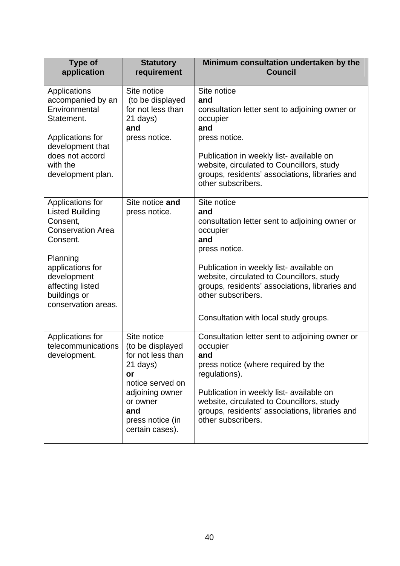| <b>Type of</b><br>application                                                                                                                                                                            | <b>Statutory</b><br>requirement                                                                                                                                         | Minimum consultation undertaken by the<br><b>Council</b>                                                                                                                                                                                                                                                           |
|----------------------------------------------------------------------------------------------------------------------------------------------------------------------------------------------------------|-------------------------------------------------------------------------------------------------------------------------------------------------------------------------|--------------------------------------------------------------------------------------------------------------------------------------------------------------------------------------------------------------------------------------------------------------------------------------------------------------------|
| Applications<br>accompanied by an<br>Environmental<br>Statement.<br>Applications for<br>development that<br>does not accord<br>with the<br>development plan.                                             | Site notice<br>(to be displayed<br>for not less than<br>21 days)<br>and<br>press notice.                                                                                | Site notice<br>and<br>consultation letter sent to adjoining owner or<br>occupier<br>and<br>press notice.<br>Publication in weekly list- available on<br>website, circulated to Councillors, study<br>groups, residents' associations, libraries and<br>other subscribers.                                          |
| Applications for<br><b>Listed Building</b><br>Consent,<br><b>Conservation Area</b><br>Consent.<br>Planning<br>applications for<br>development<br>affecting listed<br>buildings or<br>conservation areas. | Site notice and<br>press notice.                                                                                                                                        | Site notice<br>and<br>consultation letter sent to adjoining owner or<br>occupier<br>and<br>press notice.<br>Publication in weekly list- available on<br>website, circulated to Councillors, study<br>groups, residents' associations, libraries and<br>other subscribers.<br>Consultation with local study groups. |
| Applications for<br>telecommunications<br>development.                                                                                                                                                   | Site notice<br>(to be displayed<br>for not less than<br>21 days)<br>or<br>notice served on<br>adjoining owner<br>or owner<br>and<br>press notice (in<br>certain cases). | Consultation letter sent to adjoining owner or<br>occupier<br>and<br>press notice (where required by the<br>regulations).<br>Publication in weekly list- available on<br>website, circulated to Councillors, study<br>groups, residents' associations, libraries and<br>other subscribers.                         |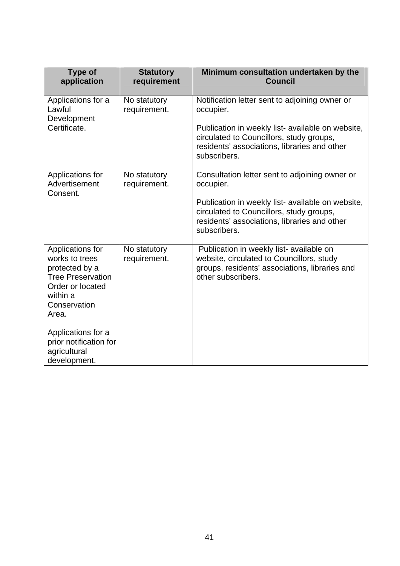| <b>Type of</b><br>application                                                                                                                                                                      | <b>Statutory</b><br>requirement | Minimum consultation undertaken by the<br><b>Council</b>                                                                                                                                                                     |
|----------------------------------------------------------------------------------------------------------------------------------------------------------------------------------------------------|---------------------------------|------------------------------------------------------------------------------------------------------------------------------------------------------------------------------------------------------------------------------|
| Applications for a<br>Lawful<br>Development<br>Certificate.                                                                                                                                        | No statutory<br>requirement.    | Notification letter sent to adjoining owner or<br>occupier.<br>Publication in weekly list- available on website,<br>circulated to Councillors, study groups,<br>residents' associations, libraries and other<br>subscribers. |
| Applications for<br>Advertisement<br>Consent.                                                                                                                                                      | No statutory<br>requirement.    | Consultation letter sent to adjoining owner or<br>occupier.<br>Publication in weekly list- available on website,<br>circulated to Councillors, study groups,<br>residents' associations, libraries and other<br>subscribers. |
| Applications for<br>works to trees<br>protected by a<br>Tree Preservation<br>Order or located<br>within a<br>Conservation<br>Area.<br>Applications for a<br>prior notification for<br>agricultural | No statutory<br>requirement.    | Publication in weekly list- available on<br>website, circulated to Councillors, study<br>groups, residents' associations, libraries and<br>other subscribers.                                                                |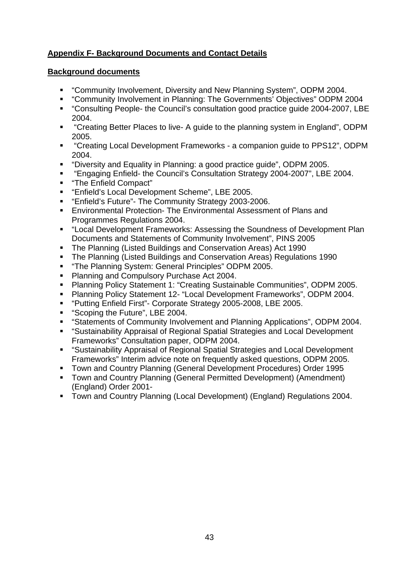# **Appendix F- Background Documents and Contact Details**

#### **Background documents**

- "Community Involvement, Diversity and New Planning System", ODPM 2004.
- "Community Involvement in Planning: The Governments' Objectives" ODPM 2004
- "Consulting People- the Council's consultation good practice guide 2004-2007, LBE 2004.
- "Creating Better Places to live- A guide to the planning system in England", ODPM 2005.
- "Creating Local Development Frameworks a companion guide to PPS12", ODPM 2004.
- "Diversity and Equality in Planning: a good practice guide", ODPM 2005.
- "Engaging Enfield- the Council's Consultation Strategy 2004-2007", LBE 2004.
- "The Enfield Compact"
- **Enfield's Local Development Scheme", LBE 2005.**
- "Enfield's Future"- The Community Strategy 2003-2006.
- Environmental Protection- The Environmental Assessment of Plans and Programmes Regulations 2004.
- "Local Development Frameworks: Assessing the Soundness of Development Plan Documents and Statements of Community Involvement", PINS 2005
- The Planning (Listed Buildings and Conservation Areas) Act 1990
- The Planning (Listed Buildings and Conservation Areas) Regulations 1990
- **The Planning System: General Principles" ODPM 2005.**
- **Planning and Compulsory Purchase Act 2004.**
- Planning Policy Statement 1: "Creating Sustainable Communities", ODPM 2005.
- Planning Policy Statement 12- "Local Development Frameworks", ODPM 2004.
- "Putting Enfield First"- Corporate Strategy 2005-2008, LBE 2005.
- **"** "Scoping the Future", LBE 2004.
- "Statements of Community Involvement and Planning Applications", ODPM 2004.
- "Sustainability Appraisal of Regional Spatial Strategies and Local Development Frameworks" Consultation paper, ODPM 2004.
- "Sustainability Appraisal of Regional Spatial Strategies and Local Development Frameworks" Interim advice note on frequently asked questions, ODPM 2005.
- **Town and Country Planning (General Development Procedures) Order 1995**
- **Town and Country Planning (General Permitted Development) (Amendment)** (England) Order 2001-
- **Town and Country Planning (Local Development) (England) Regulations 2004.**